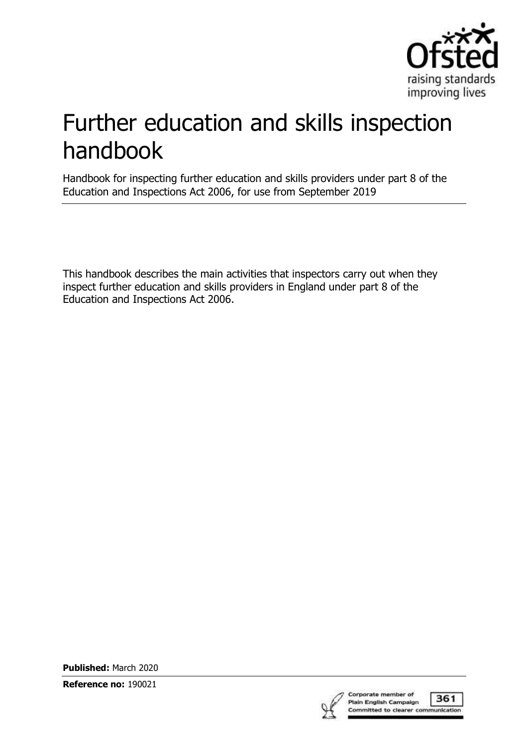

# Further education and skills inspection handbook

Handbook for inspecting further education and skills providers under part 8 of the Education and Inspections Act 2006, for use from September 2019

This handbook describes the main activities that inspectors carry out when they inspect further education and skills providers in England under part 8 of the Education and Inspections Act 2006.

**Published:** March 2020

**Reference no:** 190021

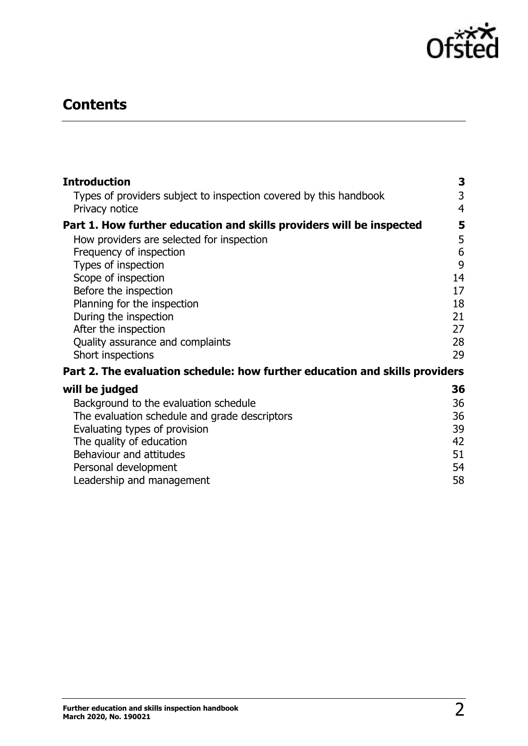

# **Contents**

| <b>Introduction</b>                                                         | 3              |
|-----------------------------------------------------------------------------|----------------|
| Types of providers subject to inspection covered by this handbook           | 3              |
| Privacy notice                                                              | $\overline{4}$ |
| Part 1. How further education and skills providers will be inspected        | 5              |
| How providers are selected for inspection                                   | 5              |
| Frequency of inspection                                                     | 6              |
| Types of inspection                                                         | 9              |
| Scope of inspection                                                         | 14             |
| Before the inspection                                                       | 17             |
| Planning for the inspection                                                 | 18<br>21       |
| During the inspection<br>After the inspection                               | 27             |
| Quality assurance and complaints                                            | 28             |
| Short inspections                                                           | 29             |
| Part 2. The evaluation schedule: how further education and skills providers |                |
| will be judged                                                              | 36             |
| Background to the evaluation schedule                                       | 36             |
| The evaluation schedule and grade descriptors                               | 36             |
| Evaluating types of provision                                               | 39             |
| The quality of education                                                    | 42             |
| Behaviour and attitudes                                                     | 51             |
| Personal development                                                        | 54             |
| Leadership and management                                                   | 58             |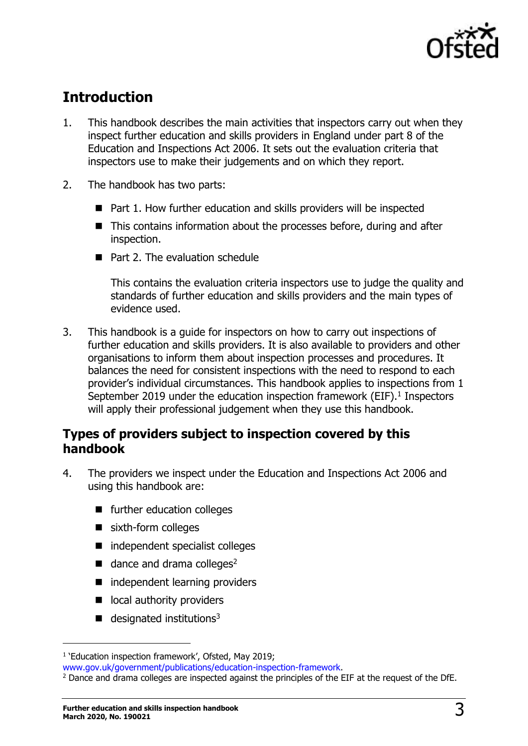

# <span id="page-2-0"></span>**Introduction**

- 1. This handbook describes the main activities that inspectors carry out when they inspect further education and skills providers in England under part 8 of the Education and Inspections Act 2006. It sets out the evaluation criteria that inspectors use to make their judgements and on which they report.
- 2. The handbook has two parts:
	- Part 1. How further education and skills providers will be inspected
	- This contains information about the processes before, during and after inspection.
	- Part 2. The evaluation schedule

This contains the evaluation criteria inspectors use to judge the quality and standards of further education and skills providers and the main types of evidence used.

3. This handbook is a guide for inspectors on how to carry out inspections of further education and skills providers. It is also available to providers and other organisations to inform them about inspection processes and procedures. It balances the need for consistent inspections with the need to respond to each provider's individual circumstances. This handbook applies to inspections from 1 September 2019 under the education inspection framework (EIF). $<sup>1</sup>$  Inspectors</sup> will apply their professional judgement when they use this handbook.

# <span id="page-2-1"></span>**Types of providers subject to inspection covered by this handbook**

- 4. The providers we inspect under the Education and Inspections Act 2006 and using this handbook are:
	- further education colleges
	- sixth-form colleges
	- independent specialist colleges
	- $\blacksquare$  dance and drama colleges<sup>2</sup>
	- independent learning providers
	- local authority providers
	- $\blacksquare$  designated institutions<sup>3</sup>

<sup>&</sup>lt;sup>1</sup> 'Education inspection framework', Ofsted, May 2019;

[www.gov.uk/government/publications/education-inspection-framework.](https://www.gov.uk/government/publications/education-inspection-framework)

<sup>&</sup>lt;sup>2</sup> Dance and drama colleges are inspected against the principles of the EIF at the request of the DfE.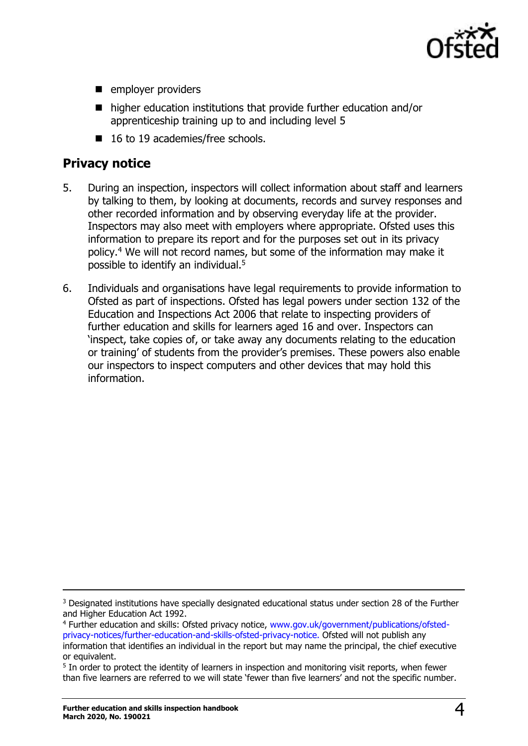

- employer providers
- higher education institutions that provide further education and/or apprenticeship training up to and including level 5
- 16 to 19 academies/free schools.

# <span id="page-3-0"></span>**Privacy notice**

- 5. During an inspection, inspectors will collect information about staff and learners by talking to them, by looking at documents, records and survey responses and other recorded information and by observing everyday life at the provider. Inspectors may also meet with employers where appropriate. Ofsted uses this information to prepare its report and for the purposes set out in its privacy policy.<sup>4</sup> We will not record names, but some of the information may make it possible to identify an individual.<sup>5</sup>
- 6. Individuals and organisations have legal requirements to provide information to Ofsted as part of inspections. Ofsted has legal powers under section 132 of the Education and Inspections Act 2006 that relate to inspecting providers of further education and skills for learners aged 16 and over. Inspectors can 'inspect, take copies of, or take away any documents relating to the education or training' of students from the provider's premises. These powers also enable our inspectors to inspect computers and other devices that may hold this information.

<sup>&</sup>lt;sup>3</sup> Designated institutions have specially designated educational status under section 28 of the Further and Higher Education Act 1992.

<sup>4</sup> Further education and skills: Ofsted privacy notice, [www.gov.uk/government/publications/ofsted](https://www.gov.uk/government/publications/ofsted-privacy-notices/further-education-and-skills-ofsted-privacy-notice)[privacy-notices/further-education-and-skills-ofsted-privacy-notice.](https://www.gov.uk/government/publications/ofsted-privacy-notices/further-education-and-skills-ofsted-privacy-notice) Ofsted will not publish any information that identifies an individual in the report but may name the principal, the chief executive or equivalent.

<sup>&</sup>lt;sup>5</sup> In order to protect the identity of learners in inspection and monitoring visit reports, when fewer than five learners are referred to we will state 'fewer than five learners' and not the specific number.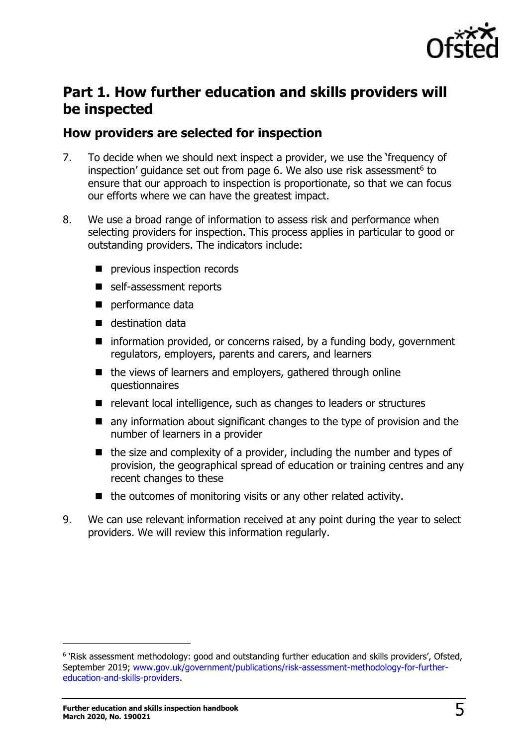

# <span id="page-4-0"></span>**Part 1. How further education and skills providers will be inspected**

# <span id="page-4-1"></span>**How providers are selected for inspection**

- 7. To decide when we should next inspect a provider, we use the 'frequency of inspection' guidance set out from page 6. We also use risk assessment<sup>6</sup> to ensure that our approach to inspection is proportionate, so that we can focus our efforts where we can have the greatest impact.
- 8. We use a broad range of information to assess risk and performance when selecting providers for inspection. This process applies in particular to good or outstanding providers. The indicators include:
	- previous inspection records
	- self-assessment reports
	- performance data
	- destination data
	- information provided, or concerns raised, by a funding body, government regulators, employers, parents and carers, and learners
	- the views of learners and employers, gathered through online questionnaires
	- relevant local intelligence, such as changes to leaders or structures
	- any information about significant changes to the type of provision and the number of learners in a provider
	- the size and complexity of a provider, including the number and types of provision, the geographical spread of education or training centres and any recent changes to these
	- the outcomes of monitoring visits or any other related activity.
- 9. We can use relevant information received at any point during the year to select providers. We will review this information regularly.

<sup>&</sup>lt;sup>6</sup> 'Risk assessment methodology: good and outstanding further education and skills providers', Ofsted, September 2019; [www.gov.uk/government/publications/risk-assessment-methodology-for-further](http://www.gov.uk/government/publications/risk-assessment-methodology-for-further-education-and-skills-providers)[education-and-skills-providers.](http://www.gov.uk/government/publications/risk-assessment-methodology-for-further-education-and-skills-providers)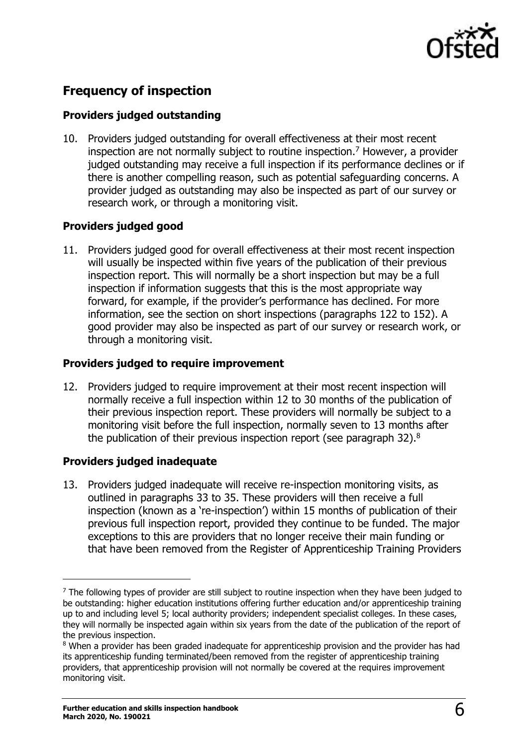

# <span id="page-5-0"></span>**Frequency of inspection**

#### **Providers judged outstanding**

10. Providers judged outstanding for overall effectiveness at their most recent inspection are not normally subject to routine inspection.<sup>7</sup> However, a provider judged outstanding may receive a full inspection if its performance declines or if there is another compelling reason, such as potential safeguarding concerns. A provider judged as outstanding may also be inspected as part of our survey or research work, or through a monitoring visit.

#### **Providers judged good**

11. Providers judged good for overall effectiveness at their most recent inspection will usually be inspected within five years of the publication of their previous inspection report. This will normally be a short inspection but may be a full inspection if information suggests that this is the most appropriate way forward, for example, if the provider's performance has declined. For more information, see the section on short inspections (paragraphs 122 to 152). A good provider may also be inspected as part of our survey or research work, or through a monitoring visit.

#### **Providers judged to require improvement**

12. Providers judged to require improvement at their most recent inspection will normally receive a full inspection within 12 to 30 months of the publication of their previous inspection report. These providers will normally be subject to a monitoring visit before the full inspection, normally seven to 13 months after the publication of their previous inspection report (see paragraph 32).<sup>8</sup>

#### **Providers judged inadequate**

j

13. Providers judged inadequate will receive re-inspection monitoring visits, as outlined in paragraphs 33 to 35. These providers will then receive a full inspection (known as a 're-inspection') within 15 months of publication of their previous full inspection report, provided they continue to be funded. The major exceptions to this are providers that no longer receive their main funding or that have been removed from the Register of Apprenticeship Training Providers

 $<sup>7</sup>$  The following types of provider are still subject to routine inspection when they have been judged to</sup> be outstanding: higher education institutions offering further education and/or apprenticeship training up to and including level 5; local authority providers; independent specialist colleges. In these cases, they will normally be inspected again within six years from the date of the publication of the report of the previous inspection.

<sup>&</sup>lt;sup>8</sup> When a provider has been graded inadequate for apprenticeship provision and the provider has had its apprenticeship funding terminated/been removed from the register of apprenticeship training providers, that apprenticeship provision will not normally be covered at the requires improvement monitoring visit.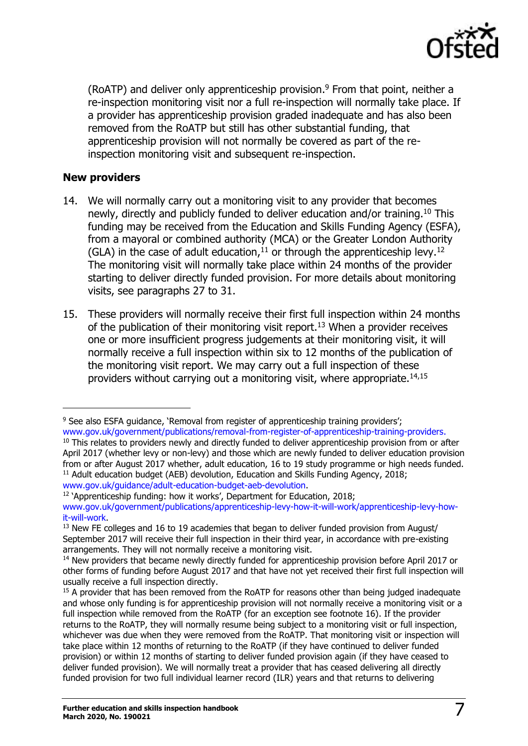

(RoATP) and deliver only apprenticeship provision. <sup>9</sup> From that point, neither a re-inspection monitoring visit nor a full re-inspection will normally take place. If a provider has apprenticeship provision graded inadequate and has also been removed from the RoATP but still has other substantial funding, that apprenticeship provision will not normally be covered as part of the reinspection monitoring visit and subsequent re-inspection.

#### **New providers**

 $\overline{a}$ 

- 14. We will normally carry out a monitoring visit to any provider that becomes newly, directly and publicly funded to deliver education and/or training. <sup>10</sup> This funding may be received from the Education and Skills Funding Agency (ESFA), from a mayoral or combined authority (MCA) or the Greater London Authority (GLA) in the case of adult education,  $11$  or through the apprenticeship levy.  $12$ The monitoring visit will normally take place within 24 months of the provider starting to deliver directly funded provision. For more details about monitoring visits, see paragraphs 27 to 31.
- 15. These providers will normally receive their first full inspection within 24 months of the publication of their monitoring visit report.<sup>13</sup> When a provider receives one or more insufficient progress judgements at their monitoring visit, it will normally receive a full inspection within six to 12 months of the publication of the monitoring visit report. We may carry out a full inspection of these providers without carrying out a monitoring visit, where appropriate. $14,15$

<sup>12</sup> 'Apprenticeship funding: how it works', Department for Education, 2018;

<sup>&</sup>lt;sup>9</sup> See also ESFA guidance, 'Removal from register of apprenticeship training providers'; [www.gov.uk/government/publications/removal-from-register-of-apprenticeship-training-providers.](http://www.gov.uk/government/publications/removal-from-register-of-apprenticeship-training-providers)

<sup>&</sup>lt;sup>10</sup> This relates to providers newly and directly funded to deliver apprenticeship provision from or after April 2017 (whether levy or non-levy) and those which are newly funded to deliver education provision from or after August 2017 whether, adult education, 16 to 19 study programme or high needs funded. <sup>11</sup> Adult education budget (AEB) devolution, Education and Skills Funding Agency, 2018; [www.gov.uk/guidance/adult-education-budget-aeb-devolution.](http://www.gov.uk/guidance/adult-education-budget-aeb-devolution)

[www.gov.uk/government/publications/apprenticeship-levy-how-it-will-work/apprenticeship-levy-how](http://www.gov.uk/government/publications/apprenticeship-levy-how-it-will-work/apprenticeship-levy-how-it-will-work)[it-will-work.](http://www.gov.uk/government/publications/apprenticeship-levy-how-it-will-work/apprenticeship-levy-how-it-will-work)

 $13$  New FE colleges and 16 to 19 academies that began to deliver funded provision from August/ September 2017 will receive their full inspection in their third year, in accordance with pre-existing arrangements. They will not normally receive a monitoring visit.

<sup>&</sup>lt;sup>14</sup> New providers that became newly directly funded for apprenticeship provision before April 2017 or other forms of funding before August 2017 and that have not yet received their first full inspection will usually receive a full inspection directly.

 $15$  A provider that has been removed from the RoATP for reasons other than being judged inadequate and whose only funding is for apprenticeship provision will not normally receive a monitoring visit or a full inspection while removed from the RoATP (for an exception see footnote 16). If the provider returns to the RoATP, they will normally resume being subject to a monitoring visit or full inspection, whichever was due when they were removed from the RoATP. That monitoring visit or inspection will take place within 12 months of returning to the RoATP (if they have continued to deliver funded provision) or within 12 months of starting to deliver funded provision again (if they have ceased to deliver funded provision). We will normally treat a provider that has ceased delivering all directly funded provision for two full individual learner record (ILR) years and that returns to delivering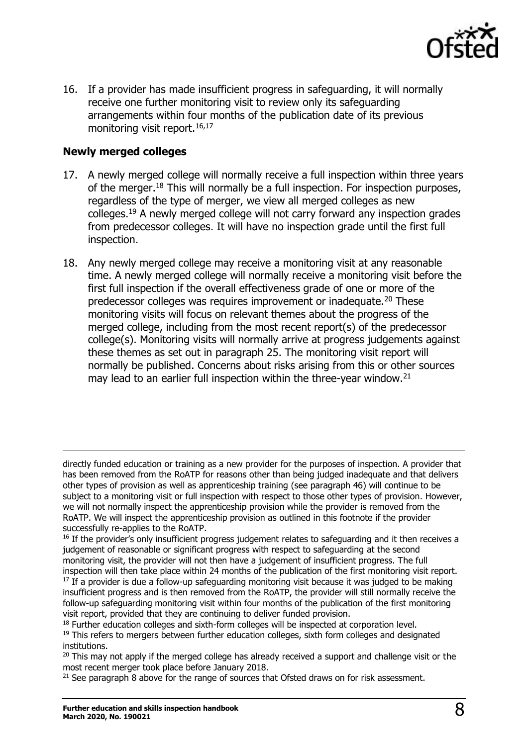

16. If a provider has made insufficient progress in safeguarding, it will normally receive one further monitoring visit to review only its safeguarding arrangements within four months of the publication date of its previous monitoring visit report.<sup>16,17</sup>

#### **Newly merged colleges**

 $\overline{a}$ 

- 17. A newly merged college will normally receive a full inspection within three years of the merger.<sup>18</sup> This will normally be a full inspection. For inspection purposes, regardless of the type of merger, we view all merged colleges as new colleges.<sup>19</sup> A newly merged college will not carry forward any inspection grades from predecessor colleges. It will have no inspection grade until the first full inspection.
- 18. Any newly merged college may receive a monitoring visit at any reasonable time. A newly merged college will normally receive a monitoring visit before the first full inspection if the overall effectiveness grade of one or more of the predecessor colleges was requires improvement or inadequate.<sup>20</sup> These monitoring visits will focus on relevant themes about the progress of the merged college, including from the most recent report(s) of the predecessor college(s). Monitoring visits will normally arrive at progress judgements against these themes as set out in paragraph 25. The monitoring visit report will normally be published. Concerns about risks arising from this or other sources may lead to an earlier full inspection within the three-year window.<sup>21</sup>

 $21$  See paragraph 8 above for the range of sources that Ofsted draws on for risk assessment.

directly funded education or training as a new provider for the purposes of inspection. A provider that has been removed from the RoATP for reasons other than being judged inadequate and that delivers other types of provision as well as apprenticeship training (see paragraph 46) will continue to be subject to a monitoring visit or full inspection with respect to those other types of provision. However, we will not normally inspect the apprenticeship provision while the provider is removed from the RoATP. We will inspect the apprenticeship provision as outlined in this footnote if the provider successfully re-applies to the RoATP.

<sup>&</sup>lt;sup>16</sup> If the provider's only insufficient progress judgement relates to safeguarding and it then receives a judgement of reasonable or significant progress with respect to safeguarding at the second monitoring visit, the provider will not then have a judgement of insufficient progress. The full

inspection will then take place within 24 months of the publication of the first monitoring visit report.  $17$  If a provider is due a follow-up safeguarding monitoring visit because it was judged to be making insufficient progress and is then removed from the RoATP, the provider will still normally receive the follow-up safeguarding monitoring visit within four months of the publication of the first monitoring visit report, provided that they are continuing to deliver funded provision.

 $18$  Further education colleges and sixth-form colleges will be inspected at corporation level.

<sup>&</sup>lt;sup>19</sup> This refers to mergers between further education colleges, sixth form colleges and designated institutions.

 $20$  This may not apply if the merged college has already received a support and challenge visit or the most recent merger took place before January 2018.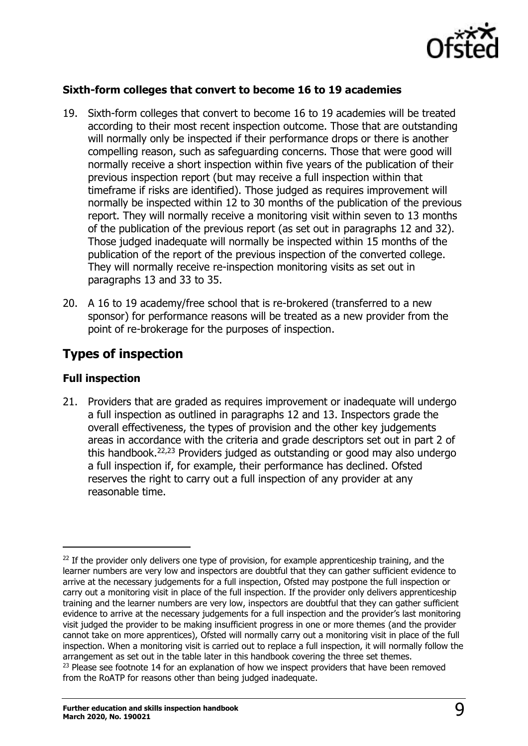

#### **Sixth-form colleges that convert to become 16 to 19 academies**

- 19. Sixth-form colleges that convert to become 16 to 19 academies will be treated according to their most recent inspection outcome. Those that are outstanding will normally only be inspected if their performance drops or there is another compelling reason, such as safeguarding concerns. Those that were good will normally receive a short inspection within five years of the publication of their previous inspection report (but may receive a full inspection within that timeframe if risks are identified). Those judged as requires improvement will normally be inspected within 12 to 30 months of the publication of the previous report. They will normally receive a monitoring visit within seven to 13 months of the publication of the previous report (as set out in paragraphs 12 and 32). Those judged inadequate will normally be inspected within 15 months of the publication of the report of the previous inspection of the converted college. They will normally receive re-inspection monitoring visits as set out in paragraphs 13 and 33 to 35.
- 20. A 16 to 19 academy/free school that is re-brokered (transferred to a new sponsor) for performance reasons will be treated as a new provider from the point of re-brokerage for the purposes of inspection.

# <span id="page-8-0"></span>**Types of inspection**

#### **Full inspection**

 $\overline{a}$ 

21. Providers that are graded as requires improvement or inadequate will undergo a full inspection as outlined in paragraphs 12 and 13. Inspectors grade the overall effectiveness, the types of provision and the other key judgements areas in accordance with the criteria and grade descriptors set out in part 2 of this handbook. 22,23 Providers judged as outstanding or good may also undergo a full inspection if, for example, their performance has declined. Ofsted reserves the right to carry out a full inspection of any provider at any reasonable time.

 $22$  If the provider only delivers one type of provision, for example apprenticeship training, and the learner numbers are very low and inspectors are doubtful that they can gather sufficient evidence to arrive at the necessary judgements for a full inspection, Ofsted may postpone the full inspection or carry out a monitoring visit in place of the full inspection. If the provider only delivers apprenticeship training and the learner numbers are very low, inspectors are doubtful that they can gather sufficient evidence to arrive at the necessary judgements for a full inspection and the provider's last monitoring visit judged the provider to be making insufficient progress in one or more themes (and the provider cannot take on more apprentices), Ofsted will normally carry out a monitoring visit in place of the full inspection. When a monitoring visit is carried out to replace a full inspection, it will normally follow the arrangement as set out in the table later in this handbook covering the three set themes.  $23$  Please see footnote 14 for an explanation of how we inspect providers that have been removed from the RoATP for reasons other than being judged inadequate.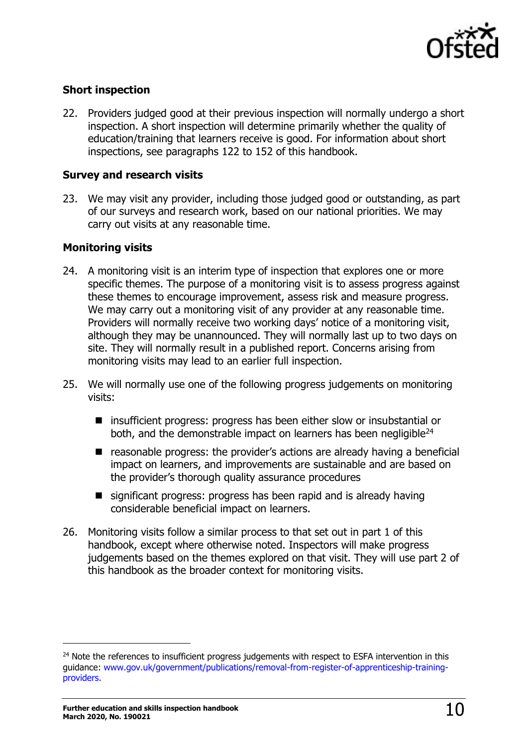

#### **Short inspection**

22. Providers judged good at their previous inspection will normally undergo a short inspection. A short inspection will determine primarily whether the quality of education/training that learners receive is good. For information about short inspections, see paragraphs 122 to 152 of this handbook.

#### **Survey and research visits**

23. We may visit any provider, including those judged good or outstanding, as part of our surveys and research work, based on our national priorities. We may carry out visits at any reasonable time.

#### **Monitoring visits**

- 24. A monitoring visit is an interim type of inspection that explores one or more specific themes. The purpose of a monitoring visit is to assess progress against these themes to encourage improvement, assess risk and measure progress. We may carry out a monitoring visit of any provider at any reasonable time. Providers will normally receive two working days' notice of a monitoring visit, although they may be unannounced. They will normally last up to two days on site. They will normally result in a published report. Concerns arising from monitoring visits may lead to an earlier full inspection.
- 25. We will normally use one of the following progress judgements on monitoring visits:
	- insufficient progress: progress has been either slow or insubstantial or both, and the demonstrable impact on learners has been negligible<sup>24</sup>
	- reasonable progress: the provider's actions are already having a beneficial impact on learners, and improvements are sustainable and are based on the provider's thorough quality assurance procedures
	- significant progress: progress has been rapid and is already having considerable beneficial impact on learners.
- 26. Monitoring visits follow a similar process to that set out in part 1 of this handbook, except where otherwise noted. Inspectors will make progress judgements based on the themes explored on that visit. They will use part 2 of this handbook as the broader context for monitoring visits.

<sup>&</sup>lt;sup>24</sup> Note the references to insufficient progress judgements with respect to ESFA intervention in this guidance: [www.gov.uk/government/publications/removal-from-register-of-apprenticeship-training](https://www.gov.uk/government/publications/removal-from-register-of-apprenticeship-training-providers)[providers.](https://www.gov.uk/government/publications/removal-from-register-of-apprenticeship-training-providers)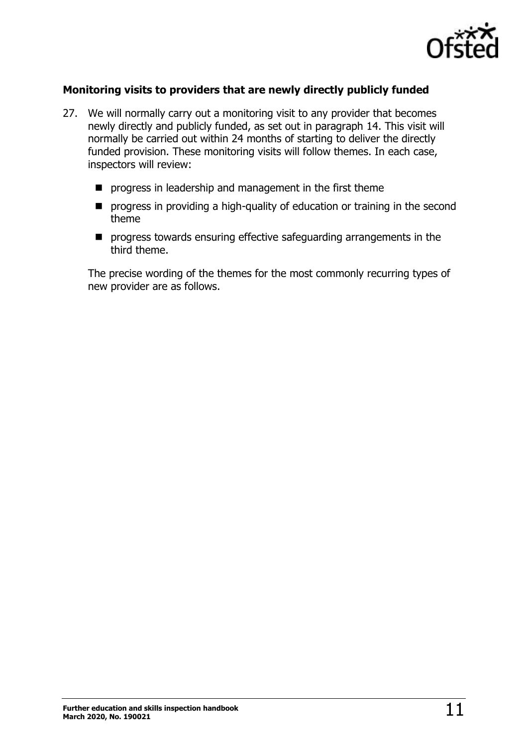

#### **Monitoring visits to providers that are newly directly publicly funded**

- 27. We will normally carry out a monitoring visit to any provider that becomes newly directly and publicly funded, as set out in paragraph 14. This visit will normally be carried out within 24 months of starting to deliver the directly funded provision. These monitoring visits will follow themes. In each case, inspectors will review:
	- progress in leadership and management in the first theme
	- progress in providing a high-quality of education or training in the second theme
	- progress towards ensuring effective safeguarding arrangements in the third theme.

The precise wording of the themes for the most commonly recurring types of new provider are as follows.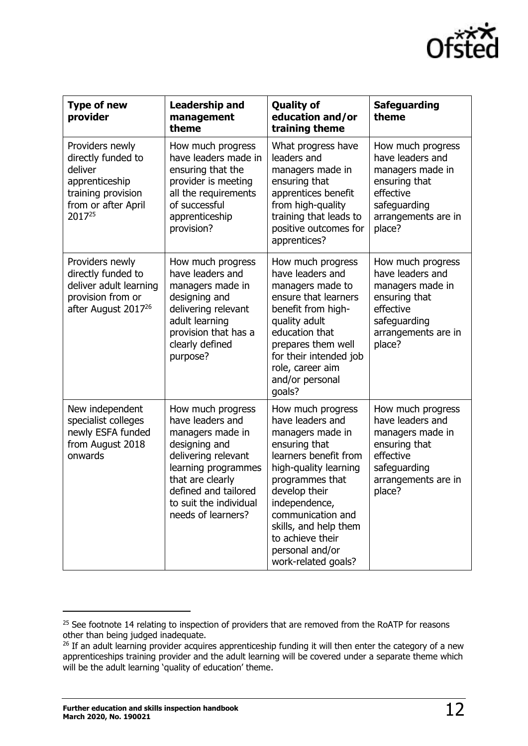

| <b>Type of new</b><br>provider                                                                                            | <b>Leadership and</b><br>management<br>theme                                                                                                                                                                         | <b>Quality of</b><br>education and/or<br>training theme                                                                                                                                                                                                                                       | <b>Safeguarding</b><br>theme                                                                                                             |
|---------------------------------------------------------------------------------------------------------------------------|----------------------------------------------------------------------------------------------------------------------------------------------------------------------------------------------------------------------|-----------------------------------------------------------------------------------------------------------------------------------------------------------------------------------------------------------------------------------------------------------------------------------------------|------------------------------------------------------------------------------------------------------------------------------------------|
| Providers newly<br>directly funded to<br>deliver<br>apprenticeship<br>training provision<br>from or after April<br>201725 | How much progress<br>have leaders made in<br>ensuring that the<br>provider is meeting<br>all the requirements<br>of successful<br>apprenticeship<br>provision?                                                       | What progress have<br>leaders and<br>managers made in<br>ensuring that<br>apprentices benefit<br>from high-quality<br>training that leads to<br>positive outcomes for<br>apprentices?                                                                                                         | How much progress<br>have leaders and<br>managers made in<br>ensuring that<br>effective<br>safeguarding<br>arrangements are in<br>place? |
| Providers newly<br>directly funded to<br>deliver adult learning<br>provision from or<br>after August 2017 <sup>26</sup>   | How much progress<br>have leaders and<br>managers made in<br>designing and<br>delivering relevant<br>adult learning<br>provision that has a<br>clearly defined<br>purpose?                                           | How much progress<br>have leaders and<br>managers made to<br>ensure that learners<br>benefit from high-<br>quality adult<br>education that<br>prepares them well<br>for their intended job<br>role, career aim<br>and/or personal<br>goals?                                                   | How much progress<br>have leaders and<br>managers made in<br>ensuring that<br>effective<br>safeguarding<br>arrangements are in<br>place? |
| New independent<br>specialist colleges<br>newly ESFA funded<br>from August 2018<br>onwards                                | How much progress<br>have leaders and<br>managers made in<br>designing and<br>delivering relevant<br>learning programmes<br>that are clearly<br>defined and tailored<br>to suit the individual<br>needs of learners? | How much progress<br>have leaders and<br>managers made in<br>ensuring that<br>learners benefit from<br>high-quality learning<br>programmes that<br>develop their<br>independence,<br>communication and<br>skills, and help them<br>to achieve their<br>personal and/or<br>work-related goals? | How much progress<br>have leaders and<br>managers made in<br>ensuring that<br>effective<br>safeguarding<br>arrangements are in<br>place? |

<sup>&</sup>lt;sup>25</sup> See footnote 14 relating to inspection of providers that are removed from the RoATP for reasons other than being judged inadequate.

<sup>&</sup>lt;sup>26</sup> If an adult learning provider acquires apprenticeship funding it will then enter the category of a new apprenticeships training provider and the adult learning will be covered under a separate theme which will be the adult learning 'quality of education' theme.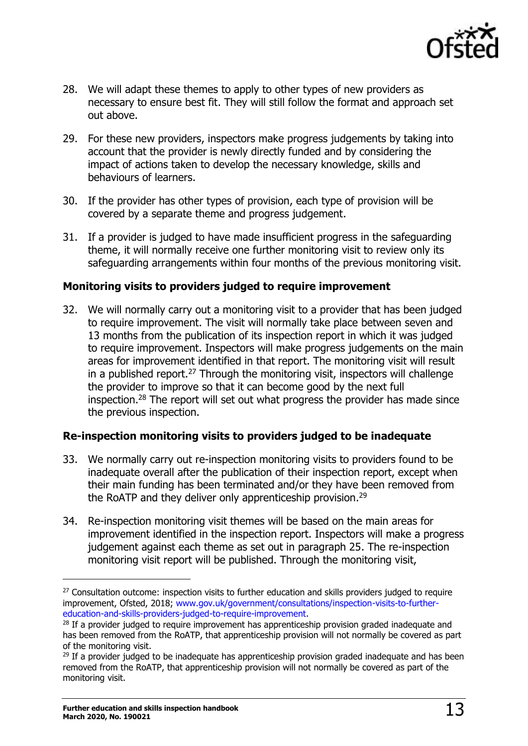

- 28. We will adapt these themes to apply to other types of new providers as necessary to ensure best fit. They will still follow the format and approach set out above.
- 29. For these new providers, inspectors make progress judgements by taking into account that the provider is newly directly funded and by considering the impact of actions taken to develop the necessary knowledge, skills and behaviours of learners.
- 30. If the provider has other types of provision, each type of provision will be covered by a separate theme and progress judgement.
- 31. If a provider is judged to have made insufficient progress in the safeguarding theme, it will normally receive one further monitoring visit to review only its safeguarding arrangements within four months of the previous monitoring visit.

#### **Monitoring visits to providers judged to require improvement**

32. We will normally carry out a monitoring visit to a provider that has been judged to require improvement. The visit will normally take place between seven and 13 months from the publication of its inspection report in which it was judged to require improvement. Inspectors will make progress judgements on the main areas for improvement identified in that report. The monitoring visit will result in a published report.<sup>27</sup> Through the monitoring visit, inspectors will challenge the provider to improve so that it can become good by the next full inspection.<sup>28</sup> The report will set out what progress the provider has made since the previous inspection.

#### **Re-inspection monitoring visits to providers judged to be inadequate**

- 33. We normally carry out re-inspection monitoring visits to providers found to be inadequate overall after the publication of their inspection report, except when their main funding has been terminated and/or they have been removed from the RoATP and they deliver only apprenticeship provision.<sup>29</sup>
- 34. Re-inspection monitoring visit themes will be based on the main areas for improvement identified in the inspection report. Inspectors will make a progress judgement against each theme as set out in paragraph 25. The re-inspection monitoring visit report will be published. Through the monitoring visit,

<sup>&</sup>lt;sup>27</sup> Consultation outcome: inspection visits to further education and skills providers judged to require improvement, Ofsted, 2018; [www.gov.uk/government/consultations/inspection-visits-to-further](http://www.gov.uk/government/consultations/inspection-visits-to-further-education-and-skills-providers-judged-to-require-improvement)[education-and-skills-providers-judged-to-require-improvement.](http://www.gov.uk/government/consultations/inspection-visits-to-further-education-and-skills-providers-judged-to-require-improvement)

<sup>&</sup>lt;sup>28</sup> If a provider judged to require improvement has apprenticeship provision graded inadequate and has been removed from the RoATP, that apprenticeship provision will not normally be covered as part of the monitoring visit.

 $29$  If a provider judged to be inadequate has apprenticeship provision graded inadequate and has been removed from the RoATP, that apprenticeship provision will not normally be covered as part of the monitoring visit.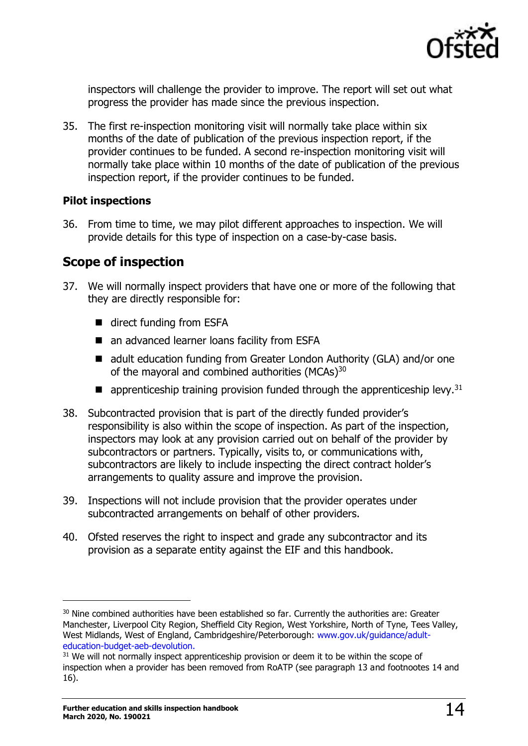

inspectors will challenge the provider to improve. The report will set out what progress the provider has made since the previous inspection.

35. The first re-inspection monitoring visit will normally take place within six months of the date of publication of the previous inspection report, if the provider continues to be funded. A second re-inspection monitoring visit will normally take place within 10 months of the date of publication of the previous inspection report, if the provider continues to be funded.

#### **Pilot inspections**

36. From time to time, we may pilot different approaches to inspection. We will provide details for this type of inspection on a case-by-case basis.

# <span id="page-13-0"></span>**Scope of inspection**

- 37. We will normally inspect providers that have one or more of the following that they are directly responsible for:
	- direct funding from ESFA
	- an advanced learner loans facility from ESFA
	- adult education funding from Greater London Authority (GLA) and/or one of the mayoral and combined authorities (MCAs)<sup>30</sup>
	- $\blacksquare$  apprenticeship training provision funded through the apprenticeship levy.<sup>31</sup>
- 38. Subcontracted provision that is part of the directly funded provider's responsibility is also within the scope of inspection. As part of the inspection, inspectors may look at any provision carried out on behalf of the provider by subcontractors or partners. Typically, visits to, or communications with, subcontractors are likely to include inspecting the direct contract holder's arrangements to quality assure and improve the provision.
- 39. Inspections will not include provision that the provider operates under subcontracted arrangements on behalf of other providers.
- 40. Ofsted reserves the right to inspect and grade any subcontractor and its provision as a separate entity against the EIF and this handbook.

<sup>&</sup>lt;sup>30</sup> Nine combined authorities have been established so far. Currently the authorities are: Greater Manchester, Liverpool City Region, Sheffield City Region, West Yorkshire, North of Tyne, Tees Valley, West Midlands, West of England, Cambridgeshire/Peterborough: [www.gov.uk/guidance/adult](http://www.gov.uk/guidance/adult-education-budget-aeb-devolution)[education-budget-aeb-devolution.](http://www.gov.uk/guidance/adult-education-budget-aeb-devolution)

 $31$  We will not normally inspect apprenticeship provision or deem it to be within the scope of inspection when a provider has been removed from RoATP (see paragraph 13 and footnootes 14 and 16).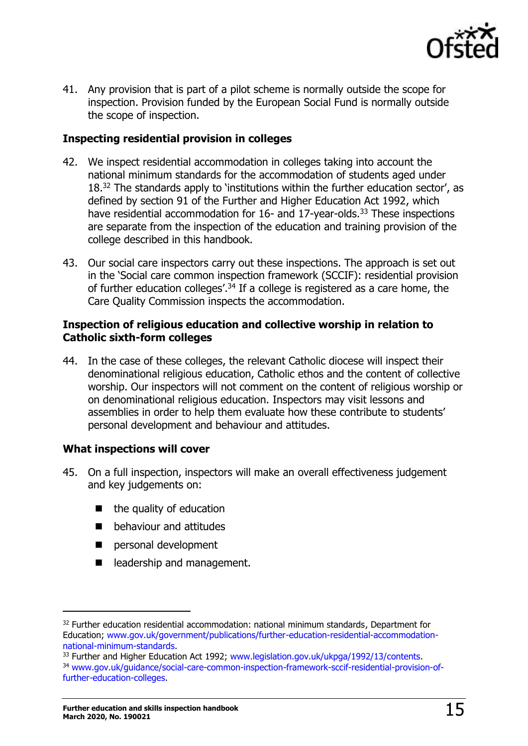

41. Any provision that is part of a pilot scheme is normally outside the scope for inspection. Provision funded by the European Social Fund is normally outside the scope of inspection.

#### **Inspecting residential provision in colleges**

- 42. We inspect residential accommodation in colleges taking into account the national minimum standards for the accommodation of students aged under 18.<sup>32</sup> The standards apply to 'institutions within the further education sector', as defined by section 91 of the Further and Higher Education Act 1992, which have residential accommodation for 16- and 17-year-olds.<sup>33</sup> These inspections are separate from the inspection of the education and training provision of the college described in this handbook.
- 43. Our social care inspectors carry out these inspections. The approach is set out in the 'Social care common inspection framework (SCCIF): residential provision of further education colleges'.<sup>34</sup> If a college is registered as a care home, the Care Quality Commission inspects the accommodation.

#### **Inspection of religious education and collective worship in relation to Catholic sixth-form colleges**

44. In the case of these colleges, the relevant Catholic diocese will inspect their denominational religious education, Catholic ethos and the content of collective worship. Our inspectors will not comment on the content of religious worship or on denominational religious education. Inspectors may visit lessons and assemblies in order to help them evaluate how these contribute to students' personal development and behaviour and attitudes.

#### **What inspections will cover**

- 45. On a full inspection, inspectors will make an overall effectiveness judgement and key judgements on:
	- the quality of education
	- behaviour and attitudes
	- personal development
	- leadership and management.

 $32$  Further education residential accommodation: national minimum standards, Department for Education; [www.gov.uk/government/publications/further-education-residential-accommodation](http://www.gov.uk/government/publications/further-education-residential-accommodation-national-minimum-standards)[national-minimum-standards.](http://www.gov.uk/government/publications/further-education-residential-accommodation-national-minimum-standards)

<sup>33</sup> Further and Higher Education Act 1992; [www.legislation.gov.uk/ukpga/1992/13/contents.](http://www.legislation.gov.uk/ukpga/1992/13/contents) <sup>34</sup> [www.gov.uk/guidance/social-care-common-inspection-framework-sccif-residential-provision-of](https://www.gov.uk/guidance/social-care-common-inspection-framework-sccif-residential-provision-of-further-education-colleges)[further-education-colleges.](https://www.gov.uk/guidance/social-care-common-inspection-framework-sccif-residential-provision-of-further-education-colleges)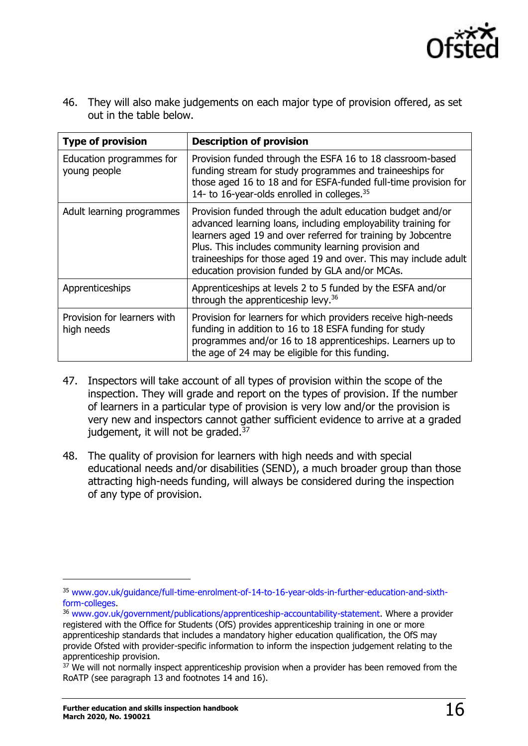

46. They will also make judgements on each major type of provision offered, as set out in the table below.

| <b>Type of provision</b>                  | <b>Description of provision</b>                                                                                                                                                                                                                                                                                                                                          |
|-------------------------------------------|--------------------------------------------------------------------------------------------------------------------------------------------------------------------------------------------------------------------------------------------------------------------------------------------------------------------------------------------------------------------------|
| Education programmes for<br>young people  | Provision funded through the ESFA 16 to 18 classroom-based<br>funding stream for study programmes and traineeships for<br>those aged 16 to 18 and for ESFA-funded full-time provision for<br>14- to 16-year-olds enrolled in colleges. <sup>35</sup>                                                                                                                     |
| Adult learning programmes                 | Provision funded through the adult education budget and/or<br>advanced learning loans, including employability training for<br>learners aged 19 and over referred for training by Jobcentre<br>Plus. This includes community learning provision and<br>traineeships for those aged 19 and over. This may include adult<br>education provision funded by GLA and/or MCAs. |
| Apprenticeships                           | Apprenticeships at levels 2 to 5 funded by the ESFA and/or<br>through the apprenticeship levy. <sup>36</sup>                                                                                                                                                                                                                                                             |
| Provision for learners with<br>high needs | Provision for learners for which providers receive high-needs<br>funding in addition to 16 to 18 ESFA funding for study<br>programmes and/or 16 to 18 apprenticeships. Learners up to<br>the age of 24 may be eligible for this funding.                                                                                                                                 |

- 47. Inspectors will take account of all types of provision within the scope of the inspection. They will grade and report on the types of provision. If the number of learners in a particular type of provision is very low and/or the provision is very new and inspectors cannot gather sufficient evidence to arrive at a graded judgement, it will not be graded.<sup>37</sup>
- 48. The quality of provision for learners with high needs and with special educational needs and/or disabilities (SEND), a much broader group than those attracting high-needs funding, will always be considered during the inspection of any type of provision.

<sup>35</sup> [www.gov.uk/guidance/full-time-enrolment-of-14-to-16-year-olds-in-further-education-and-sixth](http://www.gov.uk/guidance/full-time-enrolment-of-14-to-16-year-olds-in-further-education-and-sixth-form-colleges)[form-colleges.](http://www.gov.uk/guidance/full-time-enrolment-of-14-to-16-year-olds-in-further-education-and-sixth-form-colleges)

<sup>&</sup>lt;sup>36</sup> [www.gov.uk/government/publications/apprenticeship-accountability-statement.](http://www.gov.uk/government/publications/apprenticeship-accountability-statement) Where a provider registered with the Office for Students (OfS) provides apprenticeship training in one or more apprenticeship standards that includes a mandatory higher education qualification, the OfS may provide Ofsted with provider-specific information to inform the inspection judgement relating to the apprenticeship provision.

 $37$  We will not normally inspect apprenticeship provision when a provider has been removed from the RoATP (see paragraph 13 and footnotes 14 and 16).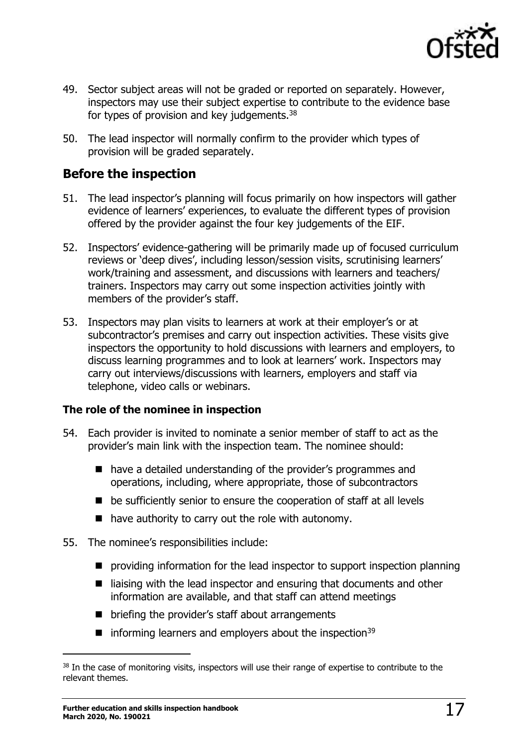

- 49. Sector subject areas will not be graded or reported on separately. However, inspectors may use their subject expertise to contribute to the evidence base for types of provision and key judgements.<sup>38</sup>
- 50. The lead inspector will normally confirm to the provider which types of provision will be graded separately.

# <span id="page-16-0"></span>**Before the inspection**

- 51. The lead inspector's planning will focus primarily on how inspectors will gather evidence of learners' experiences, to evaluate the different types of provision offered by the provider against the four key judgements of the EIF.
- 52. Inspectors' evidence-gathering will be primarily made up of focused curriculum reviews or 'deep dives', including lesson/session visits, scrutinising learners' work/training and assessment, and discussions with learners and teachers/ trainers. Inspectors may carry out some inspection activities jointly with members of the provider's staff.
- 53. Inspectors may plan visits to learners at work at their employer's or at subcontractor's premises and carry out inspection activities. These visits give inspectors the opportunity to hold discussions with learners and employers, to discuss learning programmes and to look at learners' work. Inspectors may carry out interviews/discussions with learners, employers and staff via telephone, video calls or webinars.

#### **The role of the nominee in inspection**

- 54. Each provider is invited to nominate a senior member of staff to act as the provider's main link with the inspection team. The nominee should:
	- have a detailed understanding of the provider's programmes and operations, including, where appropriate, those of subcontractors
	- be sufficiently senior to ensure the cooperation of staff at all levels
	- have authority to carry out the role with autonomy.
- 55. The nominee's responsibilities include:
	- providing information for the lead inspector to support inspection planning
	- liaising with the lead inspector and ensuring that documents and other information are available, and that staff can attend meetings
	- briefing the provider's staff about arrangements
	- $\blacksquare$  informing learners and employers about the inspection<sup>39</sup>

<sup>&</sup>lt;sup>38</sup> In the case of monitoring visits, inspectors will use their range of expertise to contribute to the relevant themes.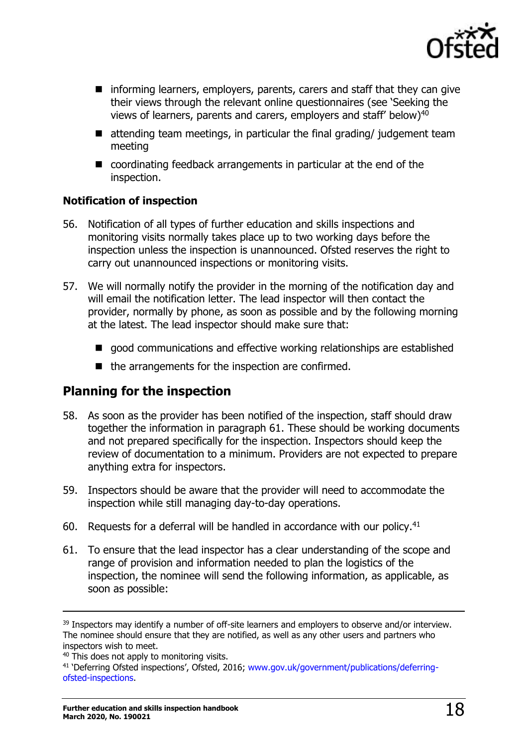

- informing learners, employers, parents, carers and staff that they can give their views through the relevant online questionnaires (see 'Seeking the views of learners, parents and carers, employers and staff' below)<sup>40</sup>
- $\blacksquare$  attending team meetings, in particular the final grading/ judgement team meeting
- coordinating feedback arrangements in particular at the end of the inspection.

#### **Notification of inspection**

- 56. Notification of all types of further education and skills inspections and monitoring visits normally takes place up to two working days before the inspection unless the inspection is unannounced. Ofsted reserves the right to carry out unannounced inspections or monitoring visits.
- 57. We will normally notify the provider in the morning of the notification day and will email the notification letter. The lead inspector will then contact the provider, normally by phone, as soon as possible and by the following morning at the latest. The lead inspector should make sure that:
	- good communications and effective working relationships are established
	- the arrangements for the inspection are confirmed.

# <span id="page-17-0"></span>**Planning for the inspection**

- 58. As soon as the provider has been notified of the inspection, staff should draw together the information in paragraph 61. These should be working documents and not prepared specifically for the inspection. Inspectors should keep the review of documentation to a minimum. Providers are not expected to prepare anything extra for inspectors.
- 59. Inspectors should be aware that the provider will need to accommodate the inspection while still managing day-to-day operations.
- 60. Requests for a deferral will be handled in accordance with our policy. $41$
- 61. To ensure that the lead inspector has a clear understanding of the scope and range of provision and information needed to plan the logistics of the inspection, the nominee will send the following information, as applicable, as soon as possible:

<sup>&</sup>lt;sup>39</sup> Inspectors may identify a number of off-site learners and employers to observe and/or interview. The nominee should ensure that they are notified, as well as any other users and partners who inspectors wish to meet.

<sup>&</sup>lt;sup>40</sup> This does not apply to monitoring visits.

<sup>&</sup>lt;sup>41</sup> 'Deferring Ofsted inspections', Ofsted, 2016; [www.gov.uk/government/publications/deferring](http://www.gov.uk/government/publications/deferring-ofsted-inspections)[ofsted-inspections.](http://www.gov.uk/government/publications/deferring-ofsted-inspections)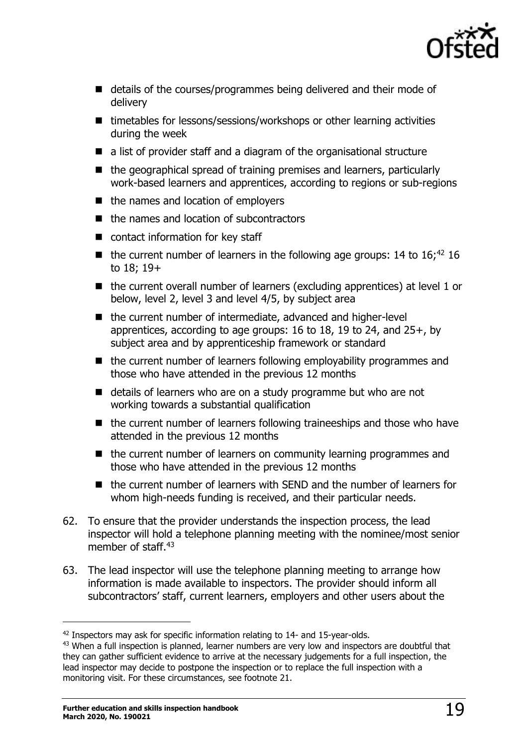

- details of the courses/programmes being delivered and their mode of delivery
- timetables for lessons/sessions/workshops or other learning activities during the week
- a list of provider staff and a diagram of the organisational structure
- the geographical spread of training premises and learners, particularly work-based learners and apprentices, according to regions or sub-regions
- the names and location of employers
- the names and location of subcontractors
- contact information for key staff
- $\blacksquare$  the current number of learners in the following age groups: 14 to 16;<sup>42</sup> 16 to 18; 19+
- the current overall number of learners (excluding apprentices) at level 1 or below, level 2, level 3 and level 4/5, by subject area
- the current number of intermediate, advanced and higher-level apprentices, according to age groups: 16 to 18, 19 to 24, and  $25+$ , by subject area and by apprenticeship framework or standard
- the current number of learners following employability programmes and those who have attended in the previous 12 months
- details of learners who are on a study programme but who are not working towards a substantial qualification
- the current number of learners following traineeships and those who have attended in the previous 12 months
- the current number of learners on community learning programmes and those who have attended in the previous 12 months
- the current number of learners with SEND and the number of learners for whom high-needs funding is received, and their particular needs.
- 62. To ensure that the provider understands the inspection process, the lead inspector will hold a telephone planning meeting with the nominee/most senior member of staff.<sup>43</sup>
- 63. The lead inspector will use the telephone planning meeting to arrange how information is made available to inspectors. The provider should inform all subcontractors' staff, current learners, employers and other users about the

 $42$  Inspectors may ask for specific information relating to 14- and 15-year-olds.

<sup>&</sup>lt;sup>43</sup> When a full inspection is planned, learner numbers are very low and inspectors are doubtful that they can gather sufficient evidence to arrive at the necessary judgements for a full inspection, the lead inspector may decide to postpone the inspection or to replace the full inspection with a monitoring visit. For these circumstances, see footnote 21.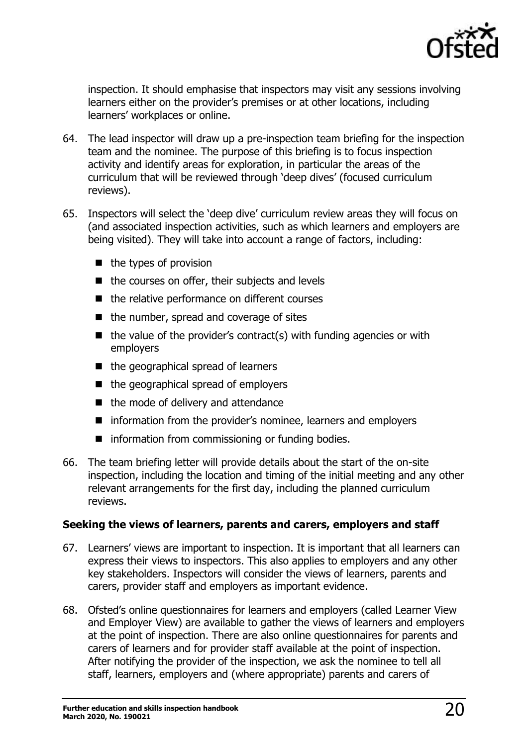

inspection. It should emphasise that inspectors may visit any sessions involving learners either on the provider's premises or at other locations, including learners' workplaces or online.

- 64. The lead inspector will draw up a pre-inspection team briefing for the inspection team and the nominee. The purpose of this briefing is to focus inspection activity and identify areas for exploration, in particular the areas of the curriculum that will be reviewed through 'deep dives' (focused curriculum reviews).
- 65. Inspectors will select the 'deep dive' curriculum review areas they will focus on (and associated inspection activities, such as which learners and employers are being visited). They will take into account a range of factors, including:
	- the types of provision
	- the courses on offer, their subjects and levels
	- the relative performance on different courses
	- the number, spread and coverage of sites
	- $\blacksquare$  the value of the provider's contract(s) with funding agencies or with employers
	- the geographical spread of learners
	- the geographical spread of employers
	- the mode of delivery and attendance
	- information from the provider's nominee, learners and employers
	- information from commissioning or funding bodies.
- 66. The team briefing letter will provide details about the start of the on-site inspection, including the location and timing of the initial meeting and any other relevant arrangements for the first day, including the planned curriculum reviews.

#### **Seeking the views of learners, parents and carers, employers and staff**

- 67. Learners' views are important to inspection. It is important that all learners can express their views to inspectors. This also applies to employers and any other key stakeholders. Inspectors will consider the views of learners, parents and carers, provider staff and employers as important evidence.
- 68. Ofsted's online questionnaires for learners and employers (called Learner View and Employer View) are available to gather the views of learners and employers at the point of inspection. There are also online questionnaires for parents and carers of learners and for provider staff available at the point of inspection. After notifying the provider of the inspection, we ask the nominee to tell all staff, learners, employers and (where appropriate) parents and carers of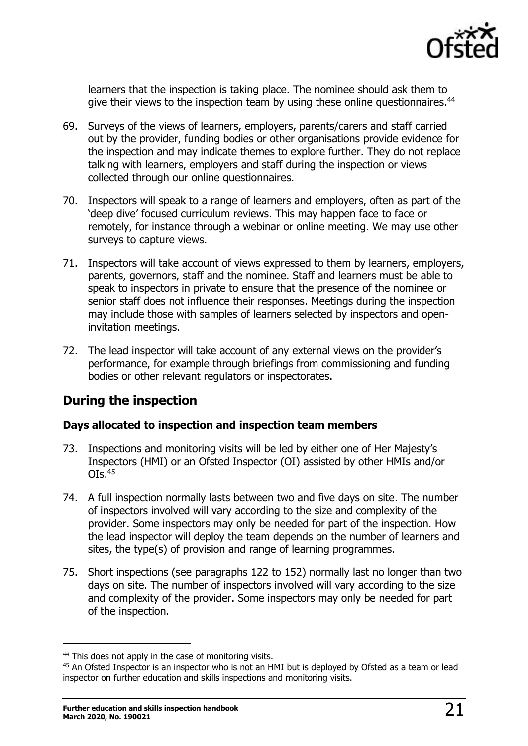

learners that the inspection is taking place. The nominee should ask them to give their views to the inspection team by using these online questionnaires.<sup>44</sup>

- 69. Surveys of the views of learners, employers, parents/carers and staff carried out by the provider, funding bodies or other organisations provide evidence for the inspection and may indicate themes to explore further. They do not replace talking with learners, employers and staff during the inspection or views collected through our online questionnaires.
- 70. Inspectors will speak to a range of learners and employers, often as part of the 'deep dive' focused curriculum reviews. This may happen face to face or remotely, for instance through a webinar or online meeting. We may use other surveys to capture views.
- 71. Inspectors will take account of views expressed to them by learners, employers, parents, governors, staff and the nominee. Staff and learners must be able to speak to inspectors in private to ensure that the presence of the nominee or senior staff does not influence their responses. Meetings during the inspection may include those with samples of learners selected by inspectors and openinvitation meetings.
- 72. The lead inspector will take account of any external views on the provider's performance, for example through briefings from commissioning and funding bodies or other relevant regulators or inspectorates.

# <span id="page-20-0"></span>**During the inspection**

#### **Days allocated to inspection and inspection team members**

- 73. Inspections and monitoring visits will be led by either one of Her Majesty's Inspectors (HMI) or an Ofsted Inspector (OI) assisted by other HMIs and/or  $O$ Is. $45$
- 74. A full inspection normally lasts between two and five days on site. The number of inspectors involved will vary according to the size and complexity of the provider. Some inspectors may only be needed for part of the inspection. How the lead inspector will deploy the team depends on the number of learners and sites, the type(s) of provision and range of learning programmes.
- 75. Short inspections (see paragraphs 122 to 152) normally last no longer than two days on site. The number of inspectors involved will vary according to the size and complexity of the provider. Some inspectors may only be needed for part of the inspection.

<sup>&</sup>lt;sup>44</sup> This does not apply in the case of monitoring visits.

<sup>&</sup>lt;sup>45</sup> An Ofsted Inspector is an inspector who is not an HMI but is deployed by Ofsted as a team or lead inspector on further education and skills inspections and monitoring visits.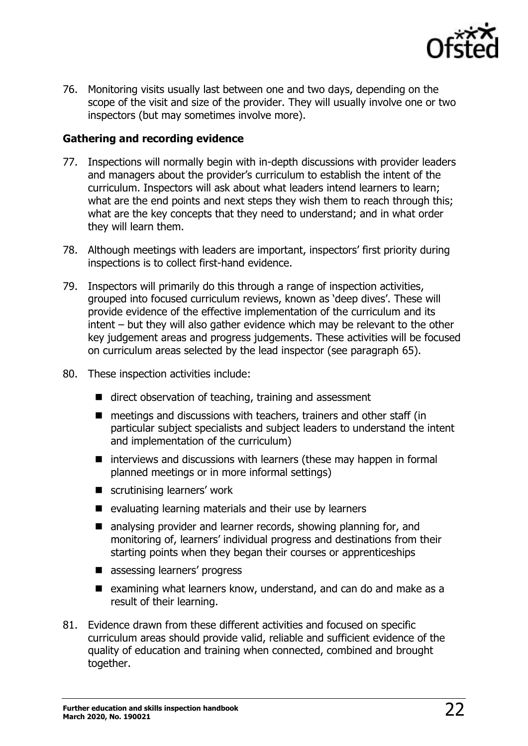

76. Monitoring visits usually last between one and two days, depending on the scope of the visit and size of the provider. They will usually involve one or two inspectors (but may sometimes involve more).

#### **Gathering and recording evidence**

- 77. Inspections will normally begin with in-depth discussions with provider leaders and managers about the provider's curriculum to establish the intent of the curriculum. Inspectors will ask about what leaders intend learners to learn; what are the end points and next steps they wish them to reach through this; what are the key concepts that they need to understand; and in what order they will learn them.
- 78. Although meetings with leaders are important, inspectors' first priority during inspections is to collect first-hand evidence.
- 79. Inspectors will primarily do this through a range of inspection activities, grouped into focused curriculum reviews, known as 'deep dives'. These will provide evidence of the effective implementation of the curriculum and its intent – but they will also gather evidence which may be relevant to the other key judgement areas and progress judgements. These activities will be focused on curriculum areas selected by the lead inspector (see paragraph 65).
- 80. These inspection activities include:
	- direct observation of teaching, training and assessment
	- meetings and discussions with teachers, trainers and other staff (in particular subject specialists and subject leaders to understand the intent and implementation of the curriculum)
	- interviews and discussions with learners (these may happen in formal planned meetings or in more informal settings)
	- scrutinising learners' work
	- evaluating learning materials and their use by learners
	- analysing provider and learner records, showing planning for, and monitoring of, learners' individual progress and destinations from their starting points when they began their courses or apprenticeships
	- assessing learners' progress
	- examining what learners know, understand, and can do and make as a result of their learning.
- 81. Evidence drawn from these different activities and focused on specific curriculum areas should provide valid, reliable and sufficient evidence of the quality of education and training when connected, combined and brought together.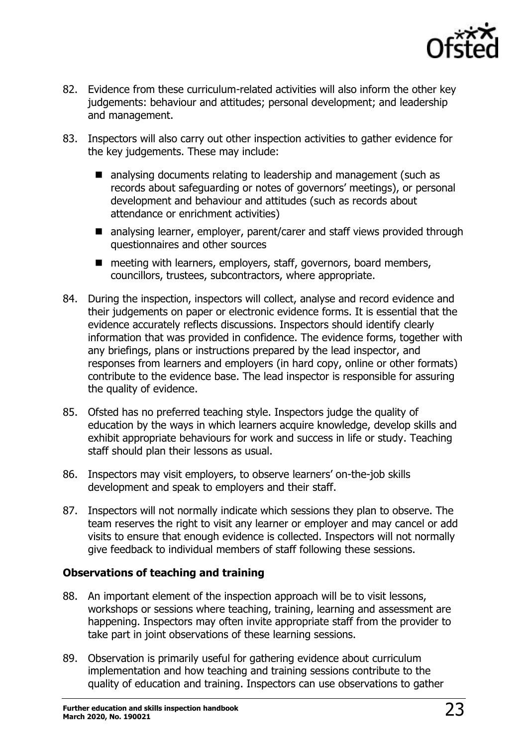

- 82. Evidence from these curriculum-related activities will also inform the other key judgements: behaviour and attitudes; personal development; and leadership and management.
- 83. Inspectors will also carry out other inspection activities to gather evidence for the key judgements. These may include:
	- analysing documents relating to leadership and management (such as records about safeguarding or notes of governors' meetings), or personal development and behaviour and attitudes (such as records about attendance or enrichment activities)
	- analysing learner, employer, parent/carer and staff views provided through questionnaires and other sources
	- meeting with learners, employers, staff, governors, board members, councillors, trustees, subcontractors, where appropriate.
- 84. During the inspection, inspectors will collect, analyse and record evidence and their judgements on paper or electronic evidence forms. It is essential that the evidence accurately reflects discussions. Inspectors should identify clearly information that was provided in confidence. The evidence forms, together with any briefings, plans or instructions prepared by the lead inspector, and responses from learners and employers (in hard copy, online or other formats) contribute to the evidence base. The lead inspector is responsible for assuring the quality of evidence.
- 85. Ofsted has no preferred teaching style. Inspectors judge the quality of education by the ways in which learners acquire knowledge, develop skills and exhibit appropriate behaviours for work and success in life or study. Teaching staff should plan their lessons as usual.
- 86. Inspectors may visit employers, to observe learners' on-the-job skills development and speak to employers and their staff.
- 87. Inspectors will not normally indicate which sessions they plan to observe. The team reserves the right to visit any learner or employer and may cancel or add visits to ensure that enough evidence is collected. Inspectors will not normally give feedback to individual members of staff following these sessions.

#### **Observations of teaching and training**

- 88. An important element of the inspection approach will be to visit lessons, workshops or sessions where teaching, training, learning and assessment are happening. Inspectors may often invite appropriate staff from the provider to take part in joint observations of these learning sessions.
- 89. Observation is primarily useful for gathering evidence about curriculum implementation and how teaching and training sessions contribute to the quality of education and training. Inspectors can use observations to gather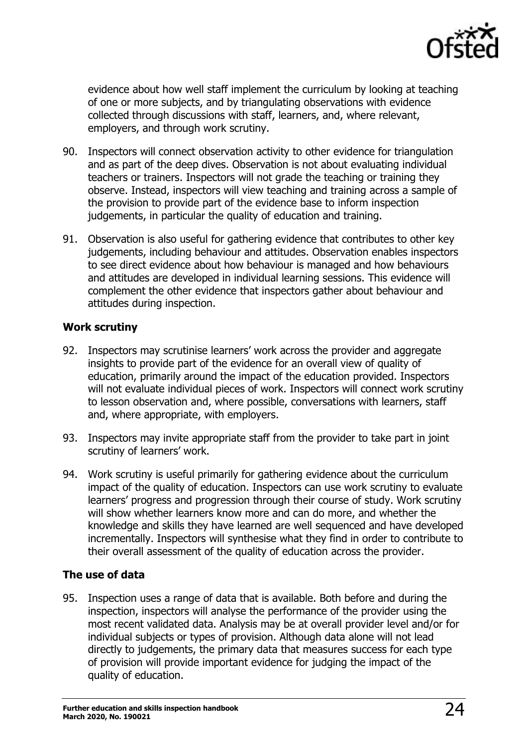

evidence about how well staff implement the curriculum by looking at teaching of one or more subjects, and by triangulating observations with evidence collected through discussions with staff, learners, and, where relevant, employers, and through work scrutiny.

- 90. Inspectors will connect observation activity to other evidence for triangulation and as part of the deep dives. Observation is not about evaluating individual teachers or trainers. Inspectors will not grade the teaching or training they observe. Instead, inspectors will view teaching and training across a sample of the provision to provide part of the evidence base to inform inspection judgements, in particular the quality of education and training.
- 91. Observation is also useful for gathering evidence that contributes to other key judgements, including behaviour and attitudes. Observation enables inspectors to see direct evidence about how behaviour is managed and how behaviours and attitudes are developed in individual learning sessions. This evidence will complement the other evidence that inspectors gather about behaviour and attitudes during inspection.

#### **Work scrutiny**

- 92. Inspectors may scrutinise learners' work across the provider and aggregate insights to provide part of the evidence for an overall view of quality of education, primarily around the impact of the education provided. Inspectors will not evaluate individual pieces of work. Inspectors will connect work scrutiny to lesson observation and, where possible, conversations with learners, staff and, where appropriate, with employers.
- 93. Inspectors may invite appropriate staff from the provider to take part in joint scrutiny of learners' work.
- 94. Work scrutiny is useful primarily for gathering evidence about the curriculum impact of the quality of education. Inspectors can use work scrutiny to evaluate learners' progress and progression through their course of study. Work scrutiny will show whether learners know more and can do more, and whether the knowledge and skills they have learned are well sequenced and have developed incrementally. Inspectors will synthesise what they find in order to contribute to their overall assessment of the quality of education across the provider.

#### **The use of data**

95. Inspection uses a range of data that is available. Both before and during the inspection, inspectors will analyse the performance of the provider using the most recent validated data. Analysis may be at overall provider level and/or for individual subjects or types of provision. Although data alone will not lead directly to judgements, the primary data that measures success for each type of provision will provide important evidence for judging the impact of the quality of education.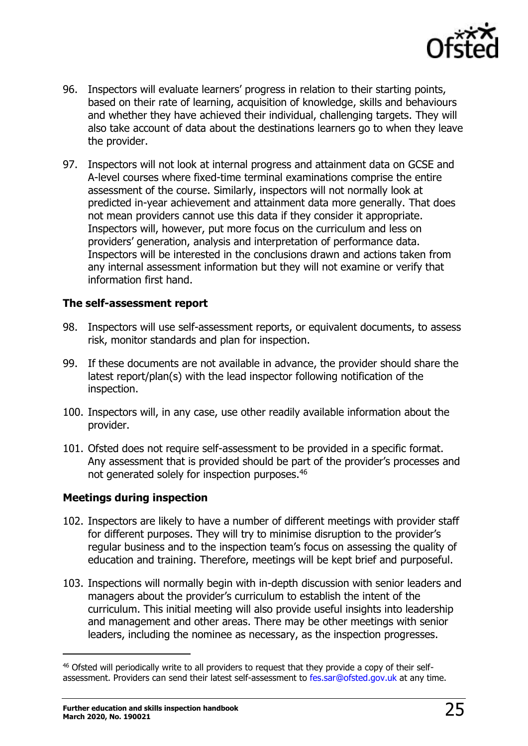

- 96. Inspectors will evaluate learners' progress in relation to their starting points, based on their rate of learning, acquisition of knowledge, skills and behaviours and whether they have achieved their individual, challenging targets. They will also take account of data about the destinations learners go to when they leave the provider.
- 97. Inspectors will not look at internal progress and attainment data on GCSE and A-level courses where fixed-time terminal examinations comprise the entire assessment of the course. Similarly, inspectors will not normally look at predicted in-year achievement and attainment data more generally. That does not mean providers cannot use this data if they consider it appropriate. Inspectors will, however, put more focus on the curriculum and less on providers' generation, analysis and interpretation of performance data. Inspectors will be interested in the conclusions drawn and actions taken from any internal assessment information but they will not examine or verify that information first hand.

#### **The self-assessment report**

- 98. Inspectors will use self-assessment reports, or equivalent documents, to assess risk, monitor standards and plan for inspection.
- 99. If these documents are not available in advance, the provider should share the latest report/plan(s) with the lead inspector following notification of the inspection.
- 100. Inspectors will, in any case, use other readily available information about the provider.
- 101. Ofsted does not require self-assessment to be provided in a specific format. Any assessment that is provided should be part of the provider's processes and not generated solely for inspection purposes.<sup>46</sup>

#### **Meetings during inspection**

- 102. Inspectors are likely to have a number of different meetings with provider staff for different purposes. They will try to minimise disruption to the provider's regular business and to the inspection team's focus on assessing the quality of education and training. Therefore, meetings will be kept brief and purposeful.
- 103. Inspections will normally begin with in-depth discussion with senior leaders and managers about the provider's curriculum to establish the intent of the curriculum. This initial meeting will also provide useful insights into leadership and management and other areas. There may be other meetings with senior leaders, including the nominee as necessary, as the inspection progresses.

<sup>&</sup>lt;sup>46</sup> Ofsted will periodically write to all providers to request that they provide a copy of their selfassessment. Providers can send their latest self-assessment to [fes.sar@ofsted.gov.uk](mailto:fes.sar@ofsted.gov.uk) at any time.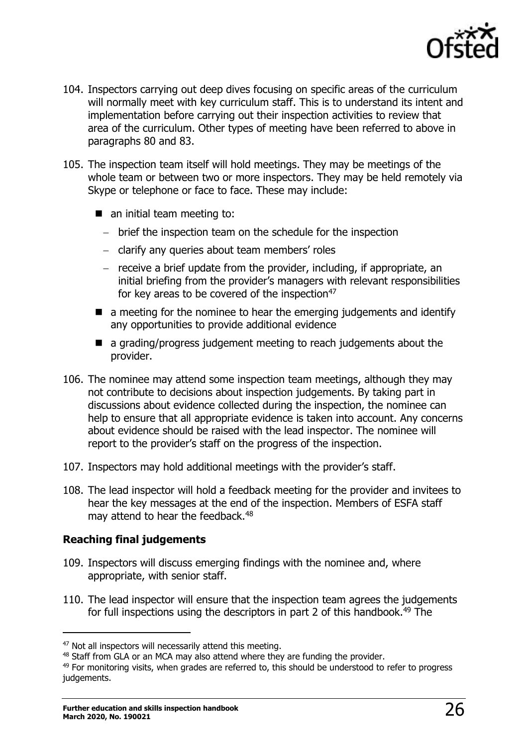

- 104. Inspectors carrying out deep dives focusing on specific areas of the curriculum will normally meet with key curriculum staff. This is to understand its intent and implementation before carrying out their inspection activities to review that area of the curriculum. Other types of meeting have been referred to above in paragraphs 80 and 83.
- 105. The inspection team itself will hold meetings. They may be meetings of the whole team or between two or more inspectors. They may be held remotely via Skype or telephone or face to face. These may include:
	- an initial team meeting to:
		- − brief the inspection team on the schedule for the inspection
		- − clarify any queries about team members' roles
		- − receive a brief update from the provider, including, if appropriate, an initial briefing from the provider's managers with relevant responsibilities for key areas to be covered of the inspection<sup>47</sup>
	- a meeting for the nominee to hear the emerging judgements and identify any opportunities to provide additional evidence
	- a grading/progress judgement meeting to reach judgements about the provider.
- 106. The nominee may attend some inspection team meetings, although they may not contribute to decisions about inspection judgements. By taking part in discussions about evidence collected during the inspection, the nominee can help to ensure that all appropriate evidence is taken into account. Any concerns about evidence should be raised with the lead inspector. The nominee will report to the provider's staff on the progress of the inspection.
- 107. Inspectors may hold additional meetings with the provider's staff.
- 108. The lead inspector will hold a feedback meeting for the provider and invitees to hear the key messages at the end of the inspection. Members of ESFA staff may attend to hear the feedback.<sup>48</sup>

#### **Reaching final judgements**

- 109. Inspectors will discuss emerging findings with the nominee and, where appropriate, with senior staff.
- 110. The lead inspector will ensure that the inspection team agrees the judgements for full inspections using the descriptors in part 2 of this handbook.<sup>49</sup> The

<sup>&</sup>lt;sup>47</sup> Not all inspectors will necessarily attend this meeting.

<sup>&</sup>lt;sup>48</sup> Staff from GLA or an MCA may also attend where they are funding the provider.

 $49$  For monitoring visits, when grades are referred to, this should be understood to refer to progress judgements.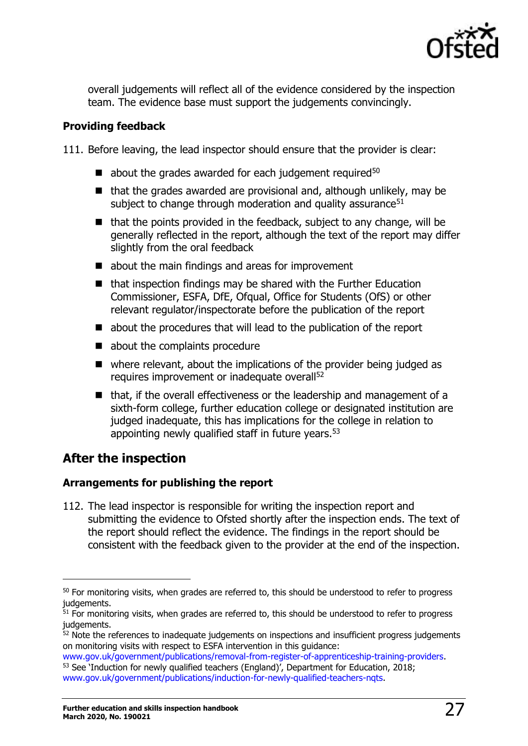

overall judgements will reflect all of the evidence considered by the inspection team. The evidence base must support the judgements convincingly.

#### **Providing feedback**

111. Before leaving, the lead inspector should ensure that the provider is clear:

- $\blacksquare$  about the grades awarded for each judgement required<sup>50</sup>
- that the grades awarded are provisional and, although unlikely, may be subject to change through moderation and quality assurance $51$
- that the points provided in the feedback, subject to any change, will be generally reflected in the report, although the text of the report may differ slightly from the oral feedback
- about the main findings and areas for improvement
- that inspection findings may be shared with the Further Education Commissioner, ESFA, DfE, Ofqual, Office for Students (OfS) or other relevant regulator/inspectorate before the publication of the report
- about the procedures that will lead to the publication of the report
- about the complaints procedure
- where relevant, about the implications of the provider being judged as requires improvement or inadequate overall<sup>52</sup>
- that, if the overall effectiveness or the leadership and management of a sixth-form college, further education college or designated institution are judged inadequate, this has implications for the college in relation to appointing newly qualified staff in future years.<sup>53</sup>

# <span id="page-26-0"></span>**After the inspection**

j

#### **Arrangements for publishing the report**

112. The lead inspector is responsible for writing the inspection report and submitting the evidence to Ofsted shortly after the inspection ends. The text of the report should reflect the evidence. The findings in the report should be consistent with the feedback given to the provider at the end of the inspection.

<sup>&</sup>lt;sup>50</sup> For monitoring visits, when grades are referred to, this should be understood to refer to progress judgements.

 $51$  For monitoring visits, when grades are referred to, this should be understood to refer to progress judgements.

 $52$  Note the references to inadequate judgements on inspections and insufficient progress judgements on monitoring visits with respect to ESFA intervention in this guidance:

[www.gov.uk/government/publications/removal-from-register-of-apprenticeship-training-providers.](https://www.gov.uk/government/publications/removal-from-register-of-apprenticeship-training-providers) <sup>53</sup> See 'Induction for newly qualified teachers (England)', Department for Education, 2018; [www.gov.uk/government/publications/induction-for-newly-qualified-teachers-nqts.](https://www.gov.uk/government/publications/induction-for-newly-qualified-teachers-nqts)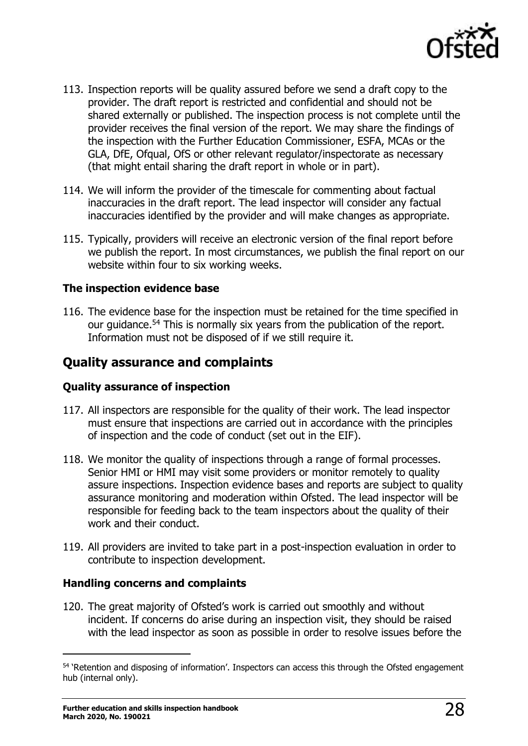

- 113. Inspection reports will be quality assured before we send a draft copy to the provider. The draft report is restricted and confidential and should not be shared externally or published. The inspection process is not complete until the provider receives the final version of the report. We may share the findings of the inspection with the Further Education Commissioner, ESFA, MCAs or the GLA, DfE, Ofqual, OfS or other relevant regulator/inspectorate as necessary (that might entail sharing the draft report in whole or in part).
- 114. We will inform the provider of the timescale for commenting about factual inaccuracies in the draft report. The lead inspector will consider any factual inaccuracies identified by the provider and will make changes as appropriate.
- 115. Typically, providers will receive an electronic version of the final report before we publish the report. In most circumstances, we publish the final report on our website within four to six working weeks.

#### **The inspection evidence base**

116. The evidence base for the inspection must be retained for the time specified in our guidance.<sup>54</sup> This is normally six years from the publication of the report. Information must not be disposed of if we still require it.

# <span id="page-27-0"></span>**Quality assurance and complaints**

#### **Quality assurance of inspection**

- 117. All inspectors are responsible for the quality of their work. The lead inspector must ensure that inspections are carried out in accordance with the principles of inspection and the code of conduct (set out in the EIF).
- 118. We monitor the quality of inspections through a range of formal processes. Senior HMI or HMI may visit some providers or monitor remotely to quality assure inspections. Inspection evidence bases and reports are subject to quality assurance monitoring and moderation within Ofsted. The lead inspector will be responsible for feeding back to the team inspectors about the quality of their work and their conduct.
- 119. All providers are invited to take part in a post-inspection evaluation in order to contribute to inspection development.

#### **Handling concerns and complaints**

120. The great majority of Ofsted's work is carried out smoothly and without incident. If concerns do arise during an inspection visit, they should be raised with the lead inspector as soon as possible in order to resolve issues before the

<sup>&</sup>lt;sup>54</sup> 'Retention and disposing of information'. Inspectors can access this through the Ofsted engagement hub (internal only).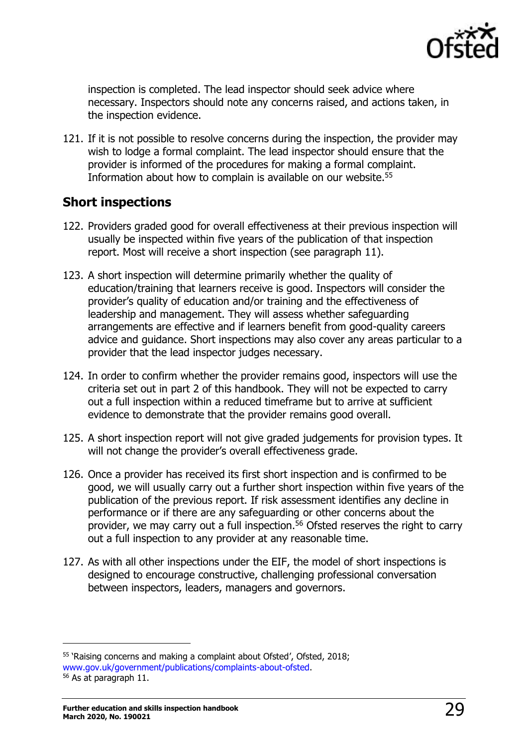

inspection is completed. The lead inspector should seek advice where necessary. Inspectors should note any concerns raised, and actions taken, in the inspection evidence.

121. If it is not possible to resolve concerns during the inspection, the provider may wish to lodge a formal complaint. The lead inspector should ensure that the provider is informed of the procedures for making a formal complaint. Information about how to complain is available on our website.<sup>55</sup>

# <span id="page-28-0"></span>**Short inspections**

- 122. Providers graded good for overall effectiveness at their previous inspection will usually be inspected within five years of the publication of that inspection report. Most will receive a short inspection (see paragraph 11).
- 123. A short inspection will determine primarily whether the quality of education/training that learners receive is good. Inspectors will consider the provider's quality of education and/or training and the effectiveness of leadership and management. They will assess whether safeguarding arrangements are effective and if learners benefit from good-quality careers advice and guidance. Short inspections may also cover any areas particular to a provider that the lead inspector judges necessary.
- 124. In order to confirm whether the provider remains good, inspectors will use the criteria set out in part 2 of this handbook. They will not be expected to carry out a full inspection within a reduced timeframe but to arrive at sufficient evidence to demonstrate that the provider remains good overall.
- 125. A short inspection report will not give graded judgements for provision types. It will not change the provider's overall effectiveness grade.
- 126. Once a provider has received its first short inspection and is confirmed to be good, we will usually carry out a further short inspection within five years of the publication of the previous report. If risk assessment identifies any decline in performance or if there are any safeguarding or other concerns about the provider, we may carry out a full inspection. <sup>56</sup> Ofsted reserves the right to carry out a full inspection to any provider at any reasonable time.
- 127. As with all other inspections under the EIF, the model of short inspections is designed to encourage constructive, challenging professional conversation between inspectors, leaders, managers and governors.

<sup>55</sup> 'Raising concerns and making a complaint about Ofsted', Ofsted, 2018; [www.gov.uk/government/publications/complaints-about-ofsted.](http://www.gov.uk/government/publications/complaints-about-ofsted)

<sup>56</sup> As at paragraph 11.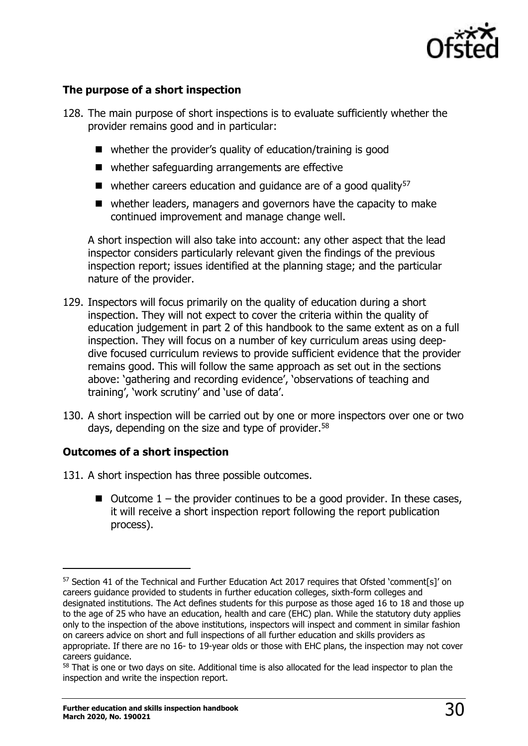

#### **The purpose of a short inspection**

- 128. The main purpose of short inspections is to evaluate sufficiently whether the provider remains good and in particular:
	- whether the provider's quality of education/training is good
	- whether safeguarding arrangements are effective
	- $\blacksquare$  whether careers education and quidance are of a good quality<sup>57</sup>
	- whether leaders, managers and governors have the capacity to make continued improvement and manage change well.

A short inspection will also take into account: any other aspect that the lead inspector considers particularly relevant given the findings of the previous inspection report; issues identified at the planning stage; and the particular nature of the provider.

- 129. Inspectors will focus primarily on the quality of education during a short inspection. They will not expect to cover the criteria within the quality of education judgement in part 2 of this handbook to the same extent as on a full inspection. They will focus on a number of key curriculum areas using deepdive focused curriculum reviews to provide sufficient evidence that the provider remains good. This will follow the same approach as set out in the sections above: 'gathering and recording evidence', 'observations of teaching and training', 'work scrutiny' and 'use of data'.
- 130. A short inspection will be carried out by one or more inspectors over one or two days, depending on the size and type of provider.<sup>58</sup>

#### **Outcomes of a short inspection**

- 131. A short inspection has three possible outcomes.
	- $\blacksquare$  Outcome  $1$  the provider continues to be a good provider. In these cases, it will receive a short inspection report following the report publication process).

<sup>&</sup>lt;sup>57</sup> Section 41 of the Technical and Further Education Act 2017 requires that Ofsted 'comment[s]' on careers guidance provided to students in further education colleges, sixth-form colleges and designated institutions. The Act defines students for this purpose as those aged 16 to 18 and those up to the age of 25 who have an education, health and care (EHC) plan. While the statutory duty applies only to the inspection of the above institutions, inspectors will inspect and comment in similar fashion on careers advice on short and full inspections of all further education and skills providers as appropriate. If there are no 16- to 19-year olds or those with EHC plans, the inspection may not cover careers guidance.

<sup>&</sup>lt;sup>58</sup> That is one or two days on site. Additional time is also allocated for the lead inspector to plan the inspection and write the inspection report.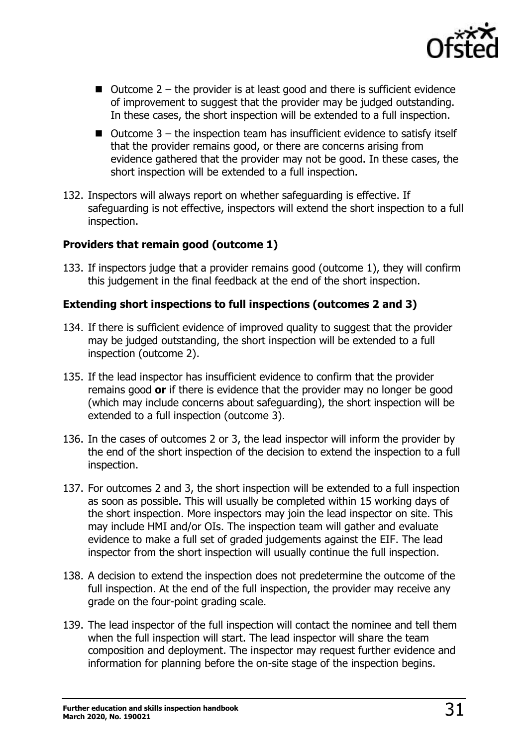

- $\blacksquare$  Outcome 2 the provider is at least good and there is sufficient evidence of improvement to suggest that the provider may be judged outstanding. In these cases, the short inspection will be extended to a full inspection.
- $\blacksquare$  Outcome 3 the inspection team has insufficient evidence to satisfy itself that the provider remains good, or there are concerns arising from evidence gathered that the provider may not be good. In these cases, the short inspection will be extended to a full inspection.
- 132. Inspectors will always report on whether safeguarding is effective. If safeguarding is not effective, inspectors will extend the short inspection to a full inspection.

#### **Providers that remain good (outcome 1)**

133. If inspectors judge that a provider remains good (outcome 1), they will confirm this judgement in the final feedback at the end of the short inspection.

#### **Extending short inspections to full inspections (outcomes 2 and 3)**

- 134. If there is sufficient evidence of improved quality to suggest that the provider may be judged outstanding, the short inspection will be extended to a full inspection (outcome 2).
- 135. If the lead inspector has insufficient evidence to confirm that the provider remains good **or** if there is evidence that the provider may no longer be good (which may include concerns about safeguarding), the short inspection will be extended to a full inspection (outcome 3).
- 136. In the cases of outcomes 2 or 3, the lead inspector will inform the provider by the end of the short inspection of the decision to extend the inspection to a full inspection.
- 137. For outcomes 2 and 3, the short inspection will be extended to a full inspection as soon as possible. This will usually be completed within 15 working days of the short inspection. More inspectors may join the lead inspector on site. This may include HMI and/or OIs. The inspection team will gather and evaluate evidence to make a full set of graded judgements against the EIF. The lead inspector from the short inspection will usually continue the full inspection.
- 138. A decision to extend the inspection does not predetermine the outcome of the full inspection. At the end of the full inspection, the provider may receive any grade on the four-point grading scale.
- 139. The lead inspector of the full inspection will contact the nominee and tell them when the full inspection will start. The lead inspector will share the team composition and deployment. The inspector may request further evidence and information for planning before the on-site stage of the inspection begins.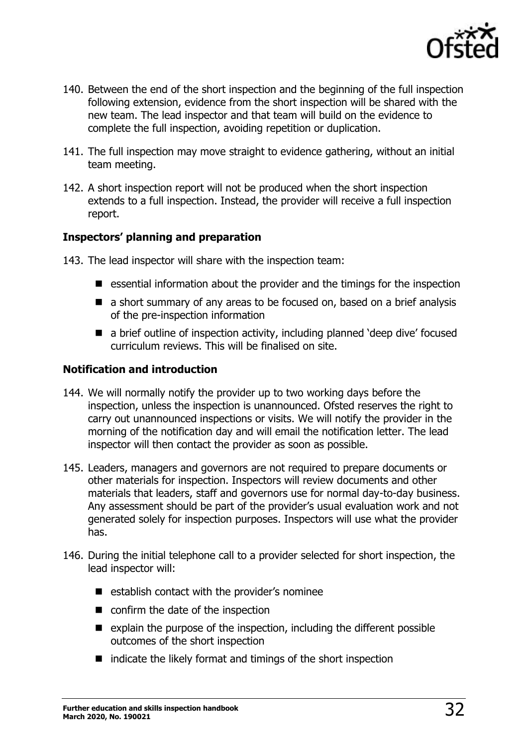

- 140. Between the end of the short inspection and the beginning of the full inspection following extension, evidence from the short inspection will be shared with the new team. The lead inspector and that team will build on the evidence to complete the full inspection, avoiding repetition or duplication.
- 141. The full inspection may move straight to evidence gathering, without an initial team meeting.
- 142. A short inspection report will not be produced when the short inspection extends to a full inspection. Instead, the provider will receive a full inspection report.

#### **Inspectors' planning and preparation**

- 143. The lead inspector will share with the inspection team:
	- essential information about the provider and the timings for the inspection
	- a short summary of any areas to be focused on, based on a brief analysis of the pre-inspection information
	- a brief outline of inspection activity, including planned 'deep dive' focused curriculum reviews. This will be finalised on site.

#### **Notification and introduction**

- 144. We will normally notify the provider up to two working days before the inspection, unless the inspection is unannounced. Ofsted reserves the right to carry out unannounced inspections or visits. We will notify the provider in the morning of the notification day and will email the notification letter. The lead inspector will then contact the provider as soon as possible.
- 145. Leaders, managers and governors are not required to prepare documents or other materials for inspection. Inspectors will review documents and other materials that leaders, staff and governors use for normal day-to-day business. Any assessment should be part of the provider's usual evaluation work and not generated solely for inspection purposes. Inspectors will use what the provider has.
- 146. During the initial telephone call to a provider selected for short inspection, the lead inspector will:
	- establish contact with the provider's nominee
	- confirm the date of the inspection
	- explain the purpose of the inspection, including the different possible outcomes of the short inspection
	- indicate the likely format and timings of the short inspection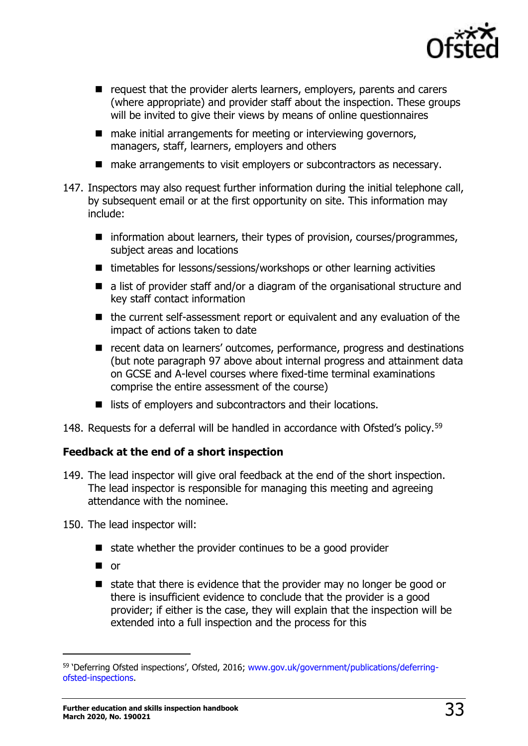

- request that the provider alerts learners, employers, parents and carers (where appropriate) and provider staff about the inspection. These groups will be invited to give their views by means of online questionnaires
- make initial arrangements for meeting or interviewing governors, managers, staff, learners, employers and others
- make arrangements to visit employers or subcontractors as necessary.
- 147. Inspectors may also request further information during the initial telephone call, by subsequent email or at the first opportunity on site. This information may include:
	- information about learners, their types of provision, courses/programmes, subject areas and locations
	- timetables for lessons/sessions/workshops or other learning activities
	- a list of provider staff and/or a diagram of the organisational structure and key staff contact information
	- the current self-assessment report or equivalent and any evaluation of the impact of actions taken to date
	- recent data on learners' outcomes, performance, progress and destinations (but note paragraph 97 above about internal progress and attainment data on GCSE and A-level courses where fixed-time terminal examinations comprise the entire assessment of the course)
	- lists of employers and subcontractors and their locations.

148. Requests for a deferral will be handled in accordance with Ofsted's policy.<sup>59</sup>

#### **Feedback at the end of a short inspection**

149. The lead inspector will give oral feedback at the end of the short inspection. The lead inspector is responsible for managing this meeting and agreeing attendance with the nominee.

150. The lead inspector will:

- state whether the provider continues to be a good provider
- or

 $\overline{a}$ 

■ state that there is evidence that the provider may no longer be good or there is insufficient evidence to conclude that the provider is a good provider; if either is the case, they will explain that the inspection will be extended into a full inspection and the process for this

<sup>&</sup>lt;sup>59</sup> 'Deferring Ofsted inspections', Ofsted, 2016; [www.gov.uk/government/publications/deferring](http://www.gov.uk/government/publications/deferring-ofsted-inspections)[ofsted-inspections.](http://www.gov.uk/government/publications/deferring-ofsted-inspections)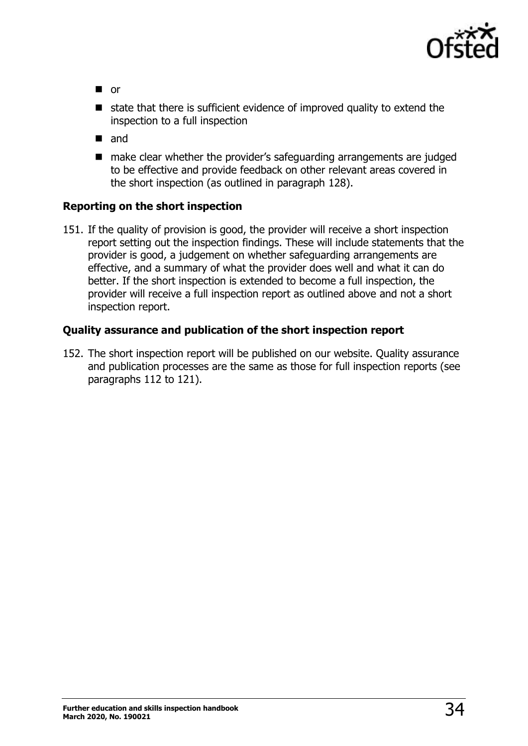

- or
- state that there is sufficient evidence of improved quality to extend the inspection to a full inspection
- and
- make clear whether the provider's safeguarding arrangements are judged to be effective and provide feedback on other relevant areas covered in the short inspection (as outlined in paragraph 128).

#### **Reporting on the short inspection**

151. If the quality of provision is good, the provider will receive a short inspection report setting out the inspection findings. These will include statements that the provider is good, a judgement on whether safeguarding arrangements are effective, and a summary of what the provider does well and what it can do better. If the short inspection is extended to become a full inspection, the provider will receive a full inspection report as outlined above and not a short inspection report.

#### **Quality assurance and publication of the short inspection report**

152. The short inspection report will be published on our website. Quality assurance and publication processes are the same as those for full inspection reports (see paragraphs 112 to 121).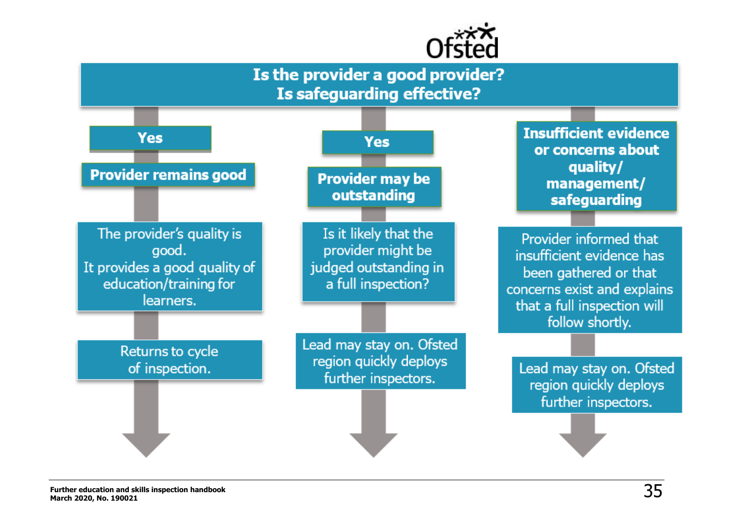

# Is the provider a good provider? **Is safeguarding effective?**

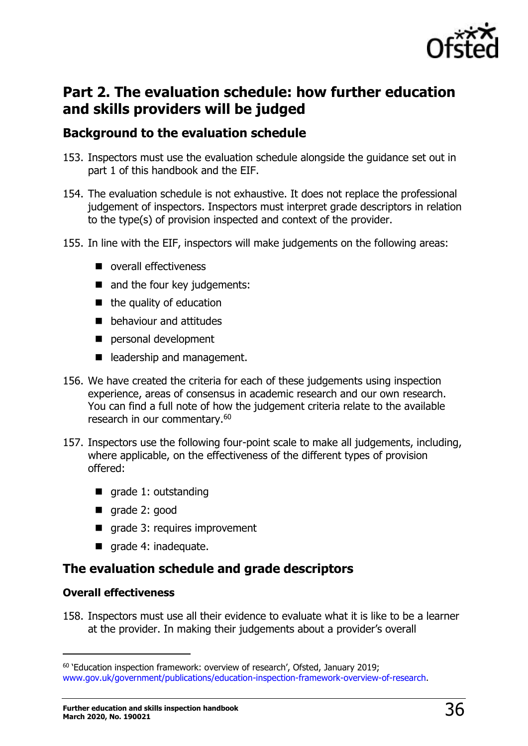

# <span id="page-35-0"></span>**Part 2. The evaluation schedule: how further education and skills providers will be judged**

# <span id="page-35-1"></span>**Background to the evaluation schedule**

- 153. Inspectors must use the evaluation schedule alongside the guidance set out in part 1 of this handbook and the EIF.
- 154. The evaluation schedule is not exhaustive. It does not replace the professional judgement of inspectors. Inspectors must interpret grade descriptors in relation to the type(s) of provision inspected and context of the provider.
- 155. In line with the EIF, inspectors will make judgements on the following areas:
	- overall effectiveness
	- and the four key judgements:
	- $\blacksquare$  the quality of education
	- behaviour and attitudes
	- personal development
	- leadership and management.
- 156. We have created the criteria for each of these judgements using inspection experience, areas of consensus in academic research and our own research. You can find a full note of how the judgement criteria relate to the available research in our commentary.<sup>60</sup>
- 157. Inspectors use the following four-point scale to make all judgements, including, where applicable, on the effectiveness of the different types of provision offered:
	- grade 1: outstanding
	- grade 2: good
	- grade 3: requires improvement
	- grade 4: inadequate.

# <span id="page-35-2"></span>**The evaluation schedule and grade descriptors**

#### **Overall effectiveness**

 $\overline{a}$ 

158. Inspectors must use all their evidence to evaluate what it is like to be a learner at the provider. In making their judgements about a provider's overall

 $60$  'Education inspection framework: overview of research', Ofsted, January 2019; [www.gov.uk/government/publications/education-inspection-framework-overview-of-research.](http://www.gov.uk/government/publications/education-inspection-framework-overview-of-research)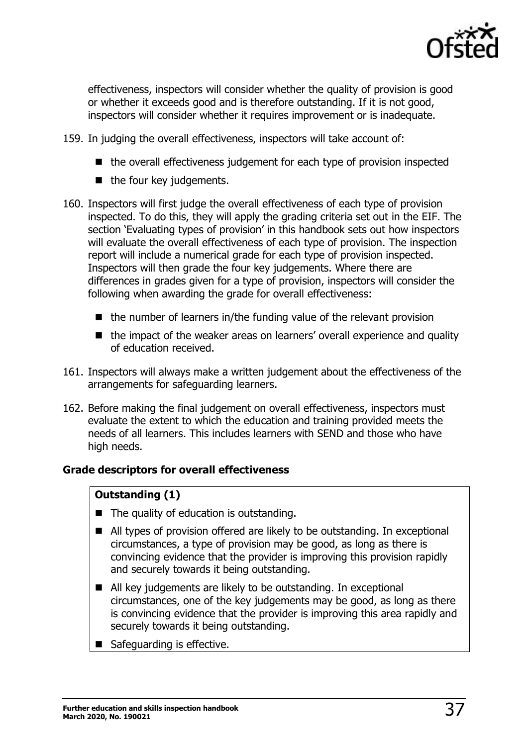

effectiveness, inspectors will consider whether the quality of provision is good or whether it exceeds good and is therefore outstanding. If it is not good, inspectors will consider whether it requires improvement or is inadequate.

- 159. In judging the overall effectiveness, inspectors will take account of:
	- the overall effectiveness judgement for each type of provision inspected
	- the four key judgements.
- 160. Inspectors will first judge the overall effectiveness of each type of provision inspected. To do this, they will apply the grading criteria set out in the EIF. The section 'Evaluating types of provision' in this handbook sets out how inspectors will evaluate the overall effectiveness of each type of provision. The inspection report will include a numerical grade for each type of provision inspected. Inspectors will then grade the four key judgements. Where there are differences in grades given for a type of provision, inspectors will consider the following when awarding the grade for overall effectiveness:
	- the number of learners in/the funding value of the relevant provision
	- the impact of the weaker areas on learners' overall experience and quality of education received.
- 161. Inspectors will always make a written judgement about the effectiveness of the arrangements for safeguarding learners.
- 162. Before making the final judgement on overall effectiveness, inspectors must evaluate the extent to which the education and training provided meets the needs of all learners. This includes learners with SEND and those who have high needs.

#### **Grade descriptors for overall effectiveness**

#### **Outstanding (1)**

- The quality of education is outstanding.
- All types of provision offered are likely to be outstanding. In exceptional circumstances, a type of provision may be good, as long as there is convincing evidence that the provider is improving this provision rapidly and securely towards it being outstanding.
- All key judgements are likely to be outstanding. In exceptional circumstances, one of the key judgements may be good, as long as there is convincing evidence that the provider is improving this area rapidly and securely towards it being outstanding.
- Safeguarding is effective.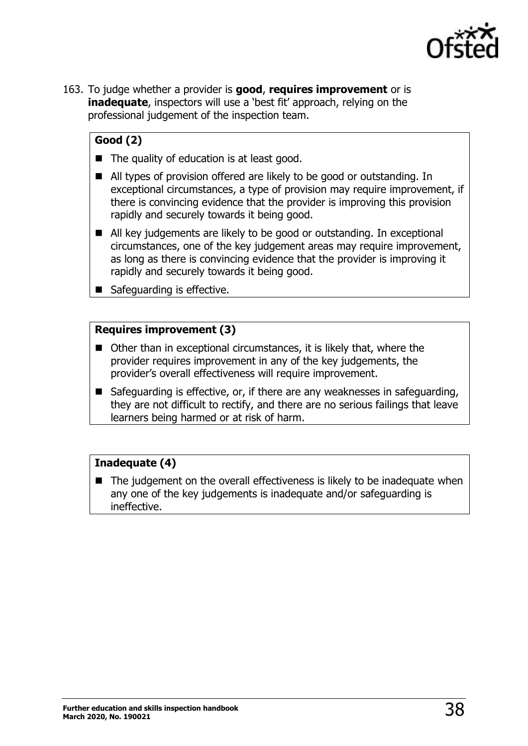

163. To judge whether a provider is **good**, **requires improvement** or is **inadequate**, inspectors will use a 'best fit' approach, relying on the professional judgement of the inspection team.

### **Good (2)**

- The quality of education is at least good.
- All types of provision offered are likely to be good or outstanding. In exceptional circumstances, a type of provision may require improvement, if there is convincing evidence that the provider is improving this provision rapidly and securely towards it being good.
- All key judgements are likely to be good or outstanding. In exceptional circumstances, one of the key judgement areas may require improvement, as long as there is convincing evidence that the provider is improving it rapidly and securely towards it being good.
- Safeguarding is effective.

#### **Requires improvement (3)**

- Other than in exceptional circumstances, it is likely that, where the provider requires improvement in any of the key judgements, the provider's overall effectiveness will require improvement.
- Safeguarding is effective, or, if there are any weaknesses in safeguarding, they are not difficult to rectify, and there are no serious failings that leave learners being harmed or at risk of harm.

#### **Inadequate (4)**

■ The judgement on the overall effectiveness is likely to be inadequate when any one of the key judgements is inadequate and/or safeguarding is ineffective.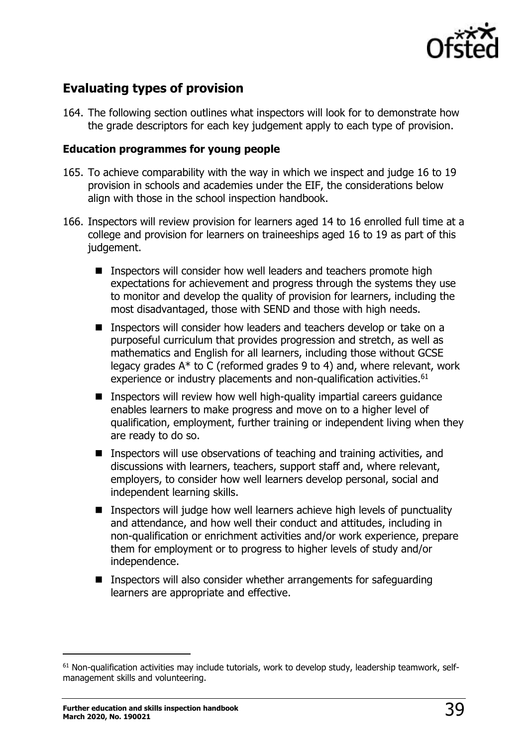

# <span id="page-38-0"></span>**Evaluating types of provision**

164. The following section outlines what inspectors will look for to demonstrate how the grade descriptors for each key judgement apply to each type of provision.

#### **Education programmes for young people**

- 165. To achieve comparability with the way in which we inspect and judge 16 to 19 provision in schools and academies under the EIF, the considerations below align with those in the school inspection handbook.
- 166. Inspectors will review provision for learners aged 14 to 16 enrolled full time at a college and provision for learners on traineeships aged 16 to 19 as part of this judgement.
	- Inspectors will consider how well leaders and teachers promote high expectations for achievement and progress through the systems they use to monitor and develop the quality of provision for learners, including the most disadvantaged, those with SEND and those with high needs.
	- Inspectors will consider how leaders and teachers develop or take on a purposeful curriculum that provides progression and stretch, as well as mathematics and English for all learners, including those without GCSE legacy grades A\* to C (reformed grades 9 to 4) and, where relevant, work experience or industry placements and non-qualification activities.<sup>61</sup>
	- Inspectors will review how well high-quality impartial careers guidance enables learners to make progress and move on to a higher level of qualification, employment, further training or independent living when they are ready to do so.
	- Inspectors will use observations of teaching and training activities, and discussions with learners, teachers, support staff and, where relevant, employers, to consider how well learners develop personal, social and independent learning skills.
	- Inspectors will judge how well learners achieve high levels of punctuality and attendance, and how well their conduct and attitudes, including in non-qualification or enrichment activities and/or work experience, prepare them for employment or to progress to higher levels of study and/or independence.
	- Inspectors will also consider whether arrangements for safeguarding learners are appropriate and effective.

 $61$  Non-qualification activities may include tutorials, work to develop study, leadership teamwork, selfmanagement skills and volunteering.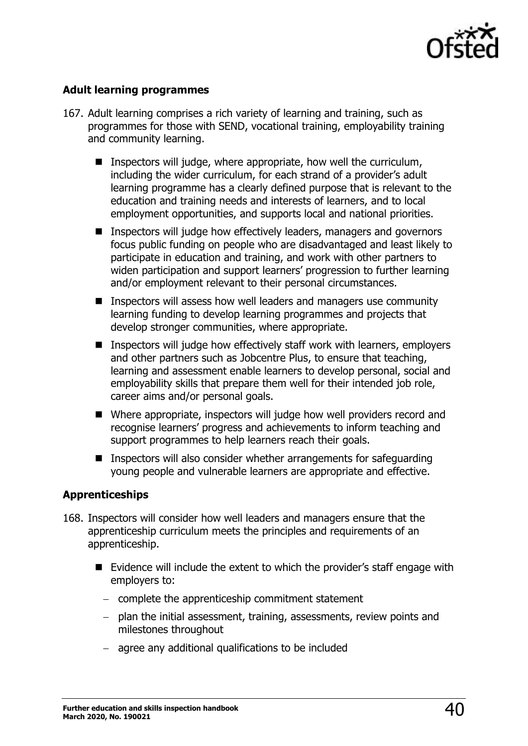

#### **Adult learning programmes**

- 167. Adult learning comprises a rich variety of learning and training, such as programmes for those with SEND, vocational training, employability training and community learning.
	- Inspectors will judge, where appropriate, how well the curriculum, including the wider curriculum, for each strand of a provider's adult learning programme has a clearly defined purpose that is relevant to the education and training needs and interests of learners, and to local employment opportunities, and supports local and national priorities.
	- Inspectors will judge how effectively leaders, managers and governors focus public funding on people who are disadvantaged and least likely to participate in education and training, and work with other partners to widen participation and support learners' progression to further learning and/or employment relevant to their personal circumstances.
	- Inspectors will assess how well leaders and managers use community learning funding to develop learning programmes and projects that develop stronger communities, where appropriate.
	- Inspectors will judge how effectively staff work with learners, employers and other partners such as Jobcentre Plus, to ensure that teaching, learning and assessment enable learners to develop personal, social and employability skills that prepare them well for their intended job role, career aims and/or personal goals.
	- Where appropriate, inspectors will judge how well providers record and recognise learners' progress and achievements to inform teaching and support programmes to help learners reach their goals.
	- Inspectors will also consider whether arrangements for safeguarding young people and vulnerable learners are appropriate and effective.

#### **Apprenticeships**

- 168. Inspectors will consider how well leaders and managers ensure that the apprenticeship curriculum meets the principles and requirements of an apprenticeship.
	- Evidence will include the extent to which the provider's staff engage with employers to:
		- − complete the apprenticeship commitment statement
		- − plan the initial assessment, training, assessments, review points and milestones throughout
		- − agree any additional qualifications to be included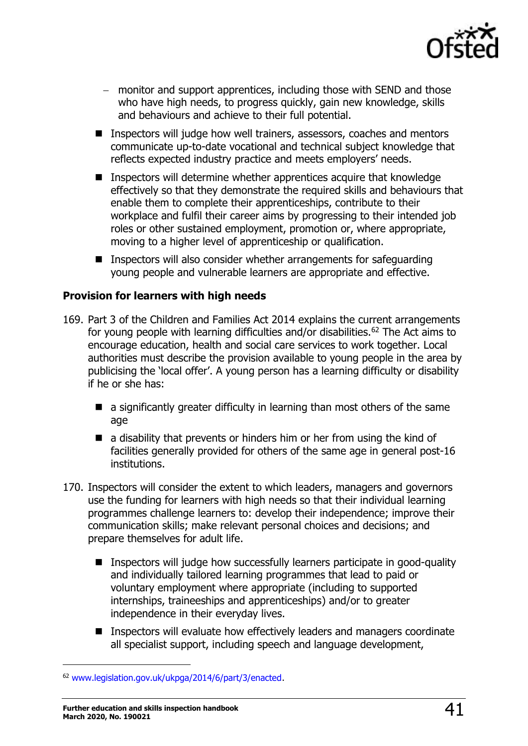

- − monitor and support apprentices, including those with SEND and those who have high needs, to progress quickly, gain new knowledge, skills and behaviours and achieve to their full potential.
- Inspectors will judge how well trainers, assessors, coaches and mentors communicate up-to-date vocational and technical subject knowledge that reflects expected industry practice and meets employers' needs.
- Inspectors will determine whether apprentices acquire that knowledge effectively so that they demonstrate the required skills and behaviours that enable them to complete their apprenticeships, contribute to their workplace and fulfil their career aims by progressing to their intended job roles or other sustained employment, promotion or, where appropriate, moving to a higher level of apprenticeship or qualification.
- Inspectors will also consider whether arrangements for safeguarding young people and vulnerable learners are appropriate and effective.

#### **Provision for learners with high needs**

- 169. Part 3 of the Children and Families Act 2014 explains the current arrangements for young people with learning difficulties and/or disabilities.<sup>62</sup> The Act aims to encourage education, health and social care services to work together. Local authorities must describe the provision available to young people in the area by publicising the 'local offer'. A young person has a learning difficulty or disability if he or she has:
	- a significantly greater difficulty in learning than most others of the same age
	- $\blacksquare$  a disability that prevents or hinders him or her from using the kind of facilities generally provided for others of the same age in general post-16 institutions.
- 170. Inspectors will consider the extent to which leaders, managers and governors use the funding for learners with high needs so that their individual learning programmes challenge learners to: develop their independence; improve their communication skills; make relevant personal choices and decisions; and prepare themselves for adult life.
	- Inspectors will judge how successfully learners participate in good-quality and individually tailored learning programmes that lead to paid or voluntary employment where appropriate (including to supported internships, traineeships and apprenticeships) and/or to greater independence in their everyday lives.
	- Inspectors will evaluate how effectively leaders and managers coordinate all specialist support, including speech and language development,

<sup>62</sup> [www.legislation.gov.uk/ukpga/2014/6/part/3/enacted.](http://www.legislation.gov.uk/ukpga/2014/6/part/3/enacted)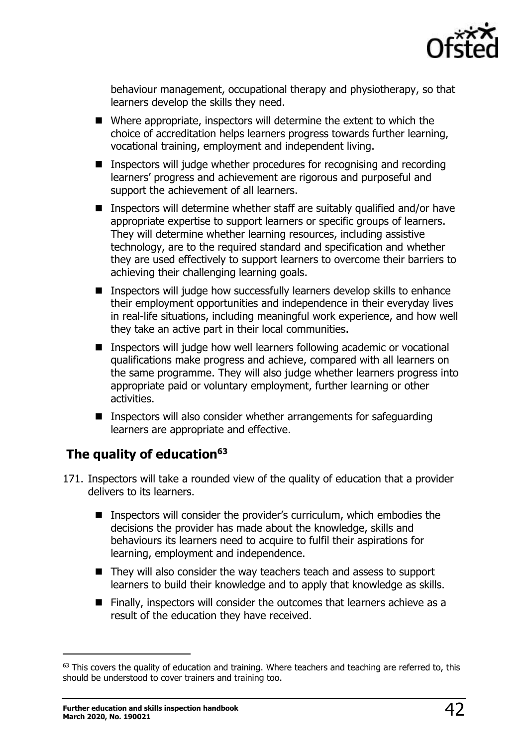

behaviour management, occupational therapy and physiotherapy, so that learners develop the skills they need.

- Where appropriate, inspectors will determine the extent to which the choice of accreditation helps learners progress towards further learning, vocational training, employment and independent living.
- Inspectors will judge whether procedures for recognising and recording learners' progress and achievement are rigorous and purposeful and support the achievement of all learners.
- Inspectors will determine whether staff are suitably qualified and/or have appropriate expertise to support learners or specific groups of learners. They will determine whether learning resources, including assistive technology, are to the required standard and specification and whether they are used effectively to support learners to overcome their barriers to achieving their challenging learning goals.
- Inspectors will judge how successfully learners develop skills to enhance their employment opportunities and independence in their everyday lives in real-life situations, including meaningful work experience, and how well they take an active part in their local communities.
- Inspectors will judge how well learners following academic or vocational qualifications make progress and achieve, compared with all learners on the same programme. They will also judge whether learners progress into appropriate paid or voluntary employment, further learning or other activities.
- Inspectors will also consider whether arrangements for safeguarding learners are appropriate and effective.

# <span id="page-41-0"></span>**The quality of education<sup>63</sup>**

- 171. Inspectors will take a rounded view of the quality of education that a provider delivers to its learners.
	- Inspectors will consider the provider's curriculum, which embodies the decisions the provider has made about the knowledge, skills and behaviours its learners need to acquire to fulfil their aspirations for learning, employment and independence.
	- They will also consider the way teachers teach and assess to support learners to build their knowledge and to apply that knowledge as skills.
	- Finally, inspectors will consider the outcomes that learners achieve as a result of the education they have received.

 $63$  This covers the quality of education and training. Where teachers and teaching are referred to, this should be understood to cover trainers and training too.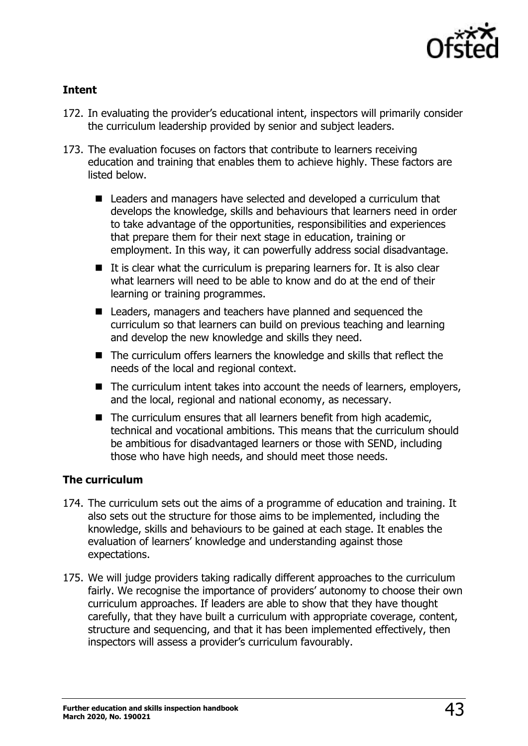

#### **Intent**

- 172. In evaluating the provider's educational intent, inspectors will primarily consider the curriculum leadership provided by senior and subject leaders.
- 173. The evaluation focuses on factors that contribute to learners receiving education and training that enables them to achieve highly. These factors are listed below.
	- Leaders and managers have selected and developed a curriculum that develops the knowledge, skills and behaviours that learners need in order to take advantage of the opportunities, responsibilities and experiences that prepare them for their next stage in education, training or employment. In this way, it can powerfully address social disadvantage.
	- $\blacksquare$  It is clear what the curriculum is preparing learners for. It is also clear what learners will need to be able to know and do at the end of their learning or training programmes.
	- Leaders, managers and teachers have planned and sequenced the curriculum so that learners can build on previous teaching and learning and develop the new knowledge and skills they need.
	- The curriculum offers learners the knowledge and skills that reflect the needs of the local and regional context.
	- The curriculum intent takes into account the needs of learners, employers, and the local, regional and national economy, as necessary.
	- The curriculum ensures that all learners benefit from high academic, technical and vocational ambitions. This means that the curriculum should be ambitious for disadvantaged learners or those with SEND, including those who have high needs, and should meet those needs.

#### **The curriculum**

- 174. The curriculum sets out the aims of a programme of education and training. It also sets out the structure for those aims to be implemented, including the knowledge, skills and behaviours to be gained at each stage. It enables the evaluation of learners' knowledge and understanding against those expectations.
- 175. We will judge providers taking radically different approaches to the curriculum fairly. We recognise the importance of providers' autonomy to choose their own curriculum approaches. If leaders are able to show that they have thought carefully, that they have built a curriculum with appropriate coverage, content, structure and sequencing, and that it has been implemented effectively, then inspectors will assess a provider's curriculum favourably.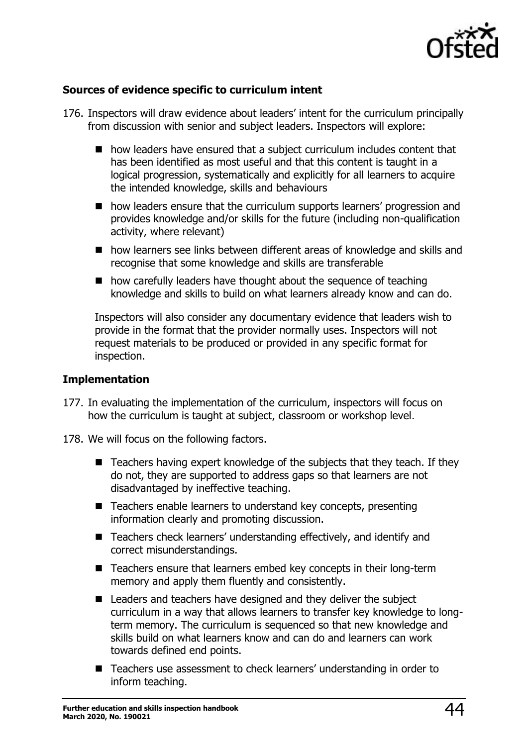

#### **Sources of evidence specific to curriculum intent**

- 176. Inspectors will draw evidence about leaders' intent for the curriculum principally from discussion with senior and subject leaders. Inspectors will explore:
	- how leaders have ensured that a subject curriculum includes content that has been identified as most useful and that this content is taught in a logical progression, systematically and explicitly for all learners to acquire the intended knowledge, skills and behaviours
	- how leaders ensure that the curriculum supports learners' progression and provides knowledge and/or skills for the future (including non-qualification activity, where relevant)
	- how learners see links between different areas of knowledge and skills and recognise that some knowledge and skills are transferable
	- how carefully leaders have thought about the sequence of teaching knowledge and skills to build on what learners already know and can do.

Inspectors will also consider any documentary evidence that leaders wish to provide in the format that the provider normally uses. Inspectors will not request materials to be produced or provided in any specific format for inspection.

#### **Implementation**

- 177. In evaluating the implementation of the curriculum, inspectors will focus on how the curriculum is taught at subject, classroom or workshop level.
- 178. We will focus on the following factors.
	- Teachers having expert knowledge of the subjects that they teach. If they do not, they are supported to address gaps so that learners are not disadvantaged by ineffective teaching.
	- Teachers enable learners to understand key concepts, presenting information clearly and promoting discussion.
	- Teachers check learners' understanding effectively, and identify and correct misunderstandings.
	- Teachers ensure that learners embed key concepts in their long-term memory and apply them fluently and consistently.
	- Leaders and teachers have designed and they deliver the subject curriculum in a way that allows learners to transfer key knowledge to longterm memory. The curriculum is sequenced so that new knowledge and skills build on what learners know and can do and learners can work towards defined end points.
	- Teachers use assessment to check learners' understanding in order to inform teaching.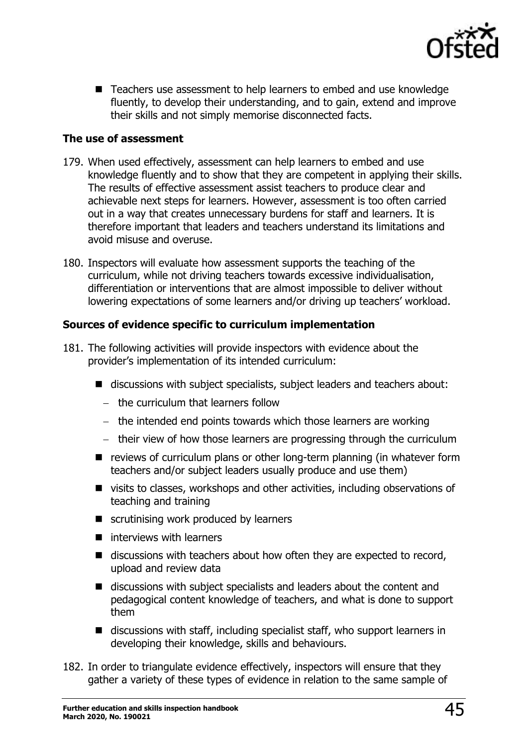

■ Teachers use assessment to help learners to embed and use knowledge fluently, to develop their understanding, and to gain, extend and improve their skills and not simply memorise disconnected facts.

#### **The use of assessment**

- 179. When used effectively, assessment can help learners to embed and use knowledge fluently and to show that they are competent in applying their skills. The results of effective assessment assist teachers to produce clear and achievable next steps for learners. However, assessment is too often carried out in a way that creates unnecessary burdens for staff and learners. It is therefore important that leaders and teachers understand its limitations and avoid misuse and overuse.
- 180. Inspectors will evaluate how assessment supports the teaching of the curriculum, while not driving teachers towards excessive individualisation, differentiation or interventions that are almost impossible to deliver without lowering expectations of some learners and/or driving up teachers' workload.

#### **Sources of evidence specific to curriculum implementation**

- 181. The following activities will provide inspectors with evidence about the provider's implementation of its intended curriculum:
	- discussions with subject specialists, subject leaders and teachers about:
		- − the curriculum that learners follow
		- − the intended end points towards which those learners are working
		- − their view of how those learners are progressing through the curriculum
	- reviews of curriculum plans or other long-term planning (in whatever form teachers and/or subject leaders usually produce and use them)
	- visits to classes, workshops and other activities, including observations of teaching and training
	- scrutinising work produced by learners
	- $\blacksquare$  interviews with learners
	- $\blacksquare$  discussions with teachers about how often they are expected to record, upload and review data
	- discussions with subject specialists and leaders about the content and pedagogical content knowledge of teachers, and what is done to support them
	- discussions with staff, including specialist staff, who support learners in developing their knowledge, skills and behaviours.
- 182. In order to triangulate evidence effectively, inspectors will ensure that they gather a variety of these types of evidence in relation to the same sample of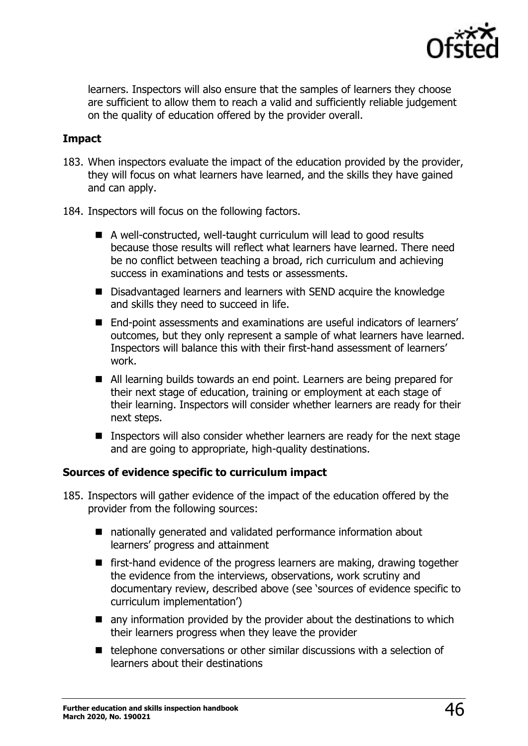

learners. Inspectors will also ensure that the samples of learners they choose are sufficient to allow them to reach a valid and sufficiently reliable judgement on the quality of education offered by the provider overall.

#### **Impact**

- 183. When inspectors evaluate the impact of the education provided by the provider, they will focus on what learners have learned, and the skills they have gained and can apply.
- 184. Inspectors will focus on the following factors.
	- A well-constructed, well-taught curriculum will lead to good results because those results will reflect what learners have learned. There need be no conflict between teaching a broad, rich curriculum and achieving success in examinations and tests or assessments.
	- Disadvantaged learners and learners with SEND acquire the knowledge and skills they need to succeed in life.
	- End-point assessments and examinations are useful indicators of learners' outcomes, but they only represent a sample of what learners have learned. Inspectors will balance this with their first-hand assessment of learners' work.
	- All learning builds towards an end point. Learners are being prepared for their next stage of education, training or employment at each stage of their learning. Inspectors will consider whether learners are ready for their next steps.
	- Inspectors will also consider whether learners are ready for the next stage and are going to appropriate, high-quality destinations.

#### **Sources of evidence specific to curriculum impact**

- 185. Inspectors will gather evidence of the impact of the education offered by the provider from the following sources:
	- nationally generated and validated performance information about learners' progress and attainment
	- first-hand evidence of the progress learners are making, drawing together the evidence from the interviews, observations, work scrutiny and documentary review, described above (see 'sources of evidence specific to curriculum implementation')
	- $\blacksquare$  any information provided by the provider about the destinations to which their learners progress when they leave the provider
	- telephone conversations or other similar discussions with a selection of learners about their destinations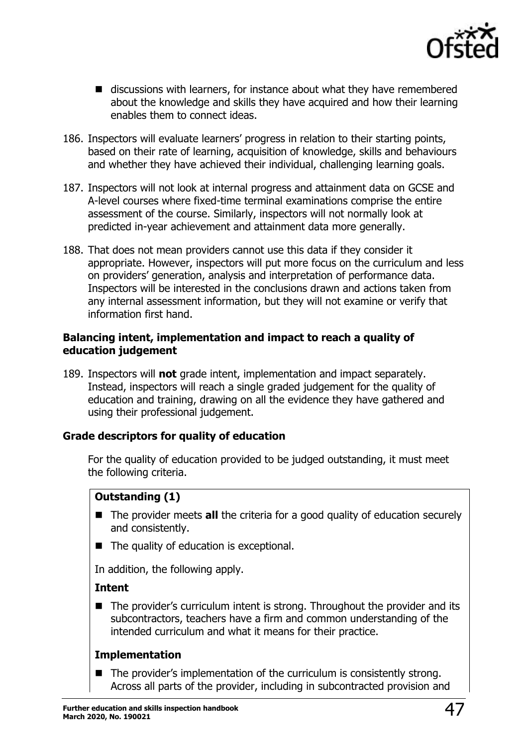

- discussions with learners, for instance about what they have remembered about the knowledge and skills they have acquired and how their learning enables them to connect ideas.
- 186. Inspectors will evaluate learners' progress in relation to their starting points, based on their rate of learning, acquisition of knowledge, skills and behaviours and whether they have achieved their individual, challenging learning goals.
- 187. Inspectors will not look at internal progress and attainment data on GCSE and A-level courses where fixed-time terminal examinations comprise the entire assessment of the course. Similarly, inspectors will not normally look at predicted in-year achievement and attainment data more generally.
- 188. That does not mean providers cannot use this data if they consider it appropriate. However, inspectors will put more focus on the curriculum and less on providers' generation, analysis and interpretation of performance data. Inspectors will be interested in the conclusions drawn and actions taken from any internal assessment information, but they will not examine or verify that information first hand.

#### **Balancing intent, implementation and impact to reach a quality of education judgement**

189. Inspectors will **not** grade intent, implementation and impact separately. Instead, inspectors will reach a single graded judgement for the quality of education and training, drawing on all the evidence they have gathered and using their professional judgement.

#### **Grade descriptors for quality of education**

For the quality of education provided to be judged outstanding, it must meet the following criteria.

# **Outstanding (1)**

- The provider meets **all** the criteria for a good quality of education securely and consistently.
- The quality of education is exceptional.

In addition, the following apply.

#### **Intent**

■ The provider's curriculum intent is strong. Throughout the provider and its subcontractors, teachers have a firm and common understanding of the intended curriculum and what it means for their practice.

#### **Implementation**

■ The provider's implementation of the curriculum is consistently strong. Across all parts of the provider, including in subcontracted provision and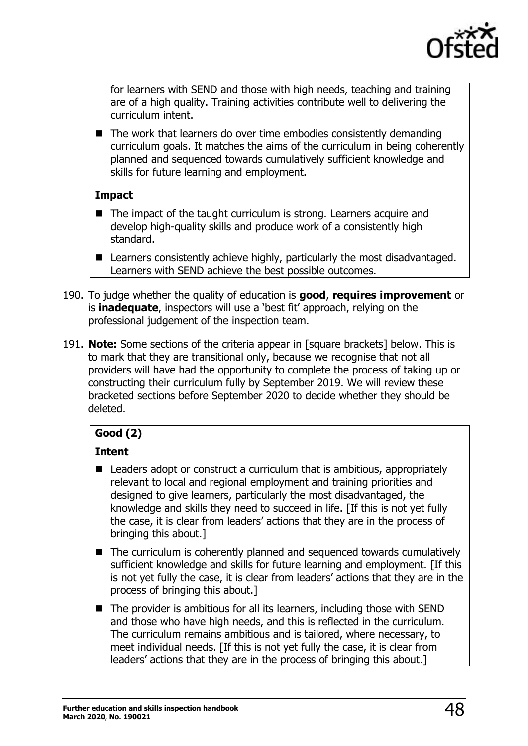

for learners with SEND and those with high needs, teaching and training are of a high quality. Training activities contribute well to delivering the curriculum intent.

■ The work that learners do over time embodies consistently demanding curriculum goals. It matches the aims of the curriculum in being coherently planned and sequenced towards cumulatively sufficient knowledge and skills for future learning and employment.

#### **Impact**

- The impact of the taught curriculum is strong. Learners acquire and develop high-quality skills and produce work of a consistently high standard.
- Learners consistently achieve highly, particularly the most disadvantaged. Learners with SEND achieve the best possible outcomes.
- 190. To judge whether the quality of education is **good**, **requires improvement** or is **inadequate**, inspectors will use a 'best fit' approach, relying on the professional judgement of the inspection team.
- 191. **Note:** Some sections of the criteria appear in [square brackets] below. This is to mark that they are transitional only, because we recognise that not all providers will have had the opportunity to complete the process of taking up or constructing their curriculum fully by September 2019. We will review these bracketed sections before September 2020 to decide whether they should be deleted.

# **Good (2)**

# **Intent**

- Leaders adopt or construct a curriculum that is ambitious, appropriately relevant to local and regional employment and training priorities and designed to give learners, particularly the most disadvantaged, the knowledge and skills they need to succeed in life. [If this is not yet fully the case, it is clear from leaders' actions that they are in the process of bringing this about.]
- The curriculum is coherently planned and sequenced towards cumulatively sufficient knowledge and skills for future learning and employment. [If this is not yet fully the case, it is clear from leaders' actions that they are in the process of bringing this about.]
- The provider is ambitious for all its learners, including those with SEND and those who have high needs, and this is reflected in the curriculum. The curriculum remains ambitious and is tailored, where necessary, to meet individual needs. [If this is not yet fully the case, it is clear from leaders' actions that they are in the process of bringing this about.]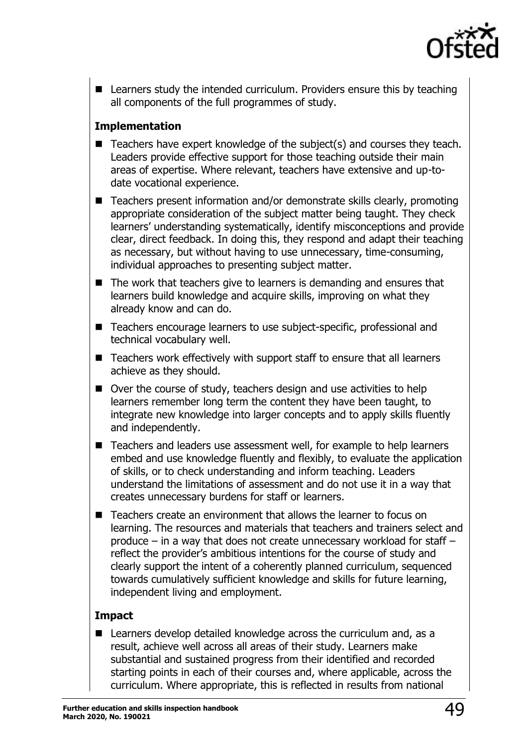

■ Learners study the intended curriculum. Providers ensure this by teaching all components of the full programmes of study.

#### **Implementation**

- Teachers have expert knowledge of the subject(s) and courses they teach. Leaders provide effective support for those teaching outside their main areas of expertise. Where relevant, teachers have extensive and up-todate vocational experience.
- Teachers present information and/or demonstrate skills clearly, promoting appropriate consideration of the subject matter being taught. They check learners' understanding systematically, identify misconceptions and provide clear, direct feedback. In doing this, they respond and adapt their teaching as necessary, but without having to use unnecessary, time-consuming, individual approaches to presenting subject matter.
- The work that teachers give to learners is demanding and ensures that learners build knowledge and acquire skills, improving on what they already know and can do.
- Teachers encourage learners to use subject-specific, professional and technical vocabulary well.
- Teachers work effectively with support staff to ensure that all learners achieve as they should.
- Over the course of study, teachers design and use activities to help learners remember long term the content they have been taught, to integrate new knowledge into larger concepts and to apply skills fluently and independently.
- Teachers and leaders use assessment well, for example to help learners embed and use knowledge fluently and flexibly, to evaluate the application of skills, or to check understanding and inform teaching. Leaders understand the limitations of assessment and do not use it in a way that creates unnecessary burdens for staff or learners.
- Teachers create an environment that allows the learner to focus on learning. The resources and materials that teachers and trainers select and produce – in a way that does not create unnecessary workload for staff – reflect the provider's ambitious intentions for the course of study and clearly support the intent of a coherently planned curriculum, sequenced towards cumulatively sufficient knowledge and skills for future learning, independent living and employment.

#### **Impact**

■ Learners develop detailed knowledge across the curriculum and, as a result, achieve well across all areas of their study. Learners make substantial and sustained progress from their identified and recorded starting points in each of their courses and, where applicable, across the curriculum. Where appropriate, this is reflected in results from national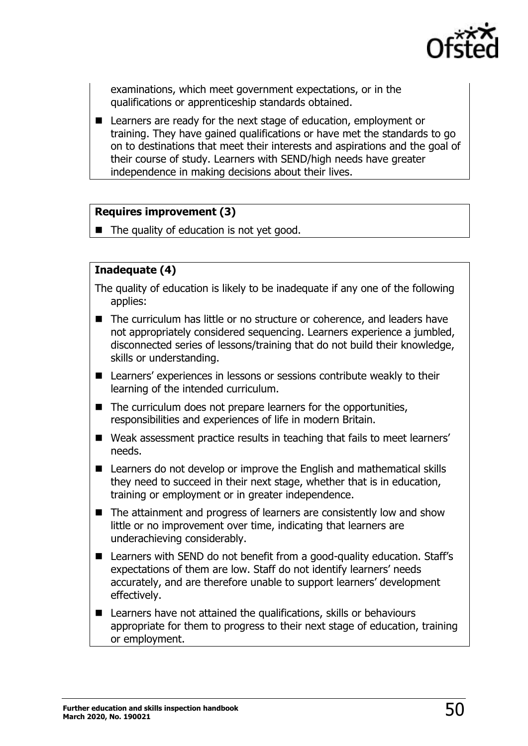

examinations, which meet government expectations, or in the qualifications or apprenticeship standards obtained.

■ Learners are ready for the next stage of education, employment or training. They have gained qualifications or have met the standards to go on to destinations that meet their interests and aspirations and the goal of their course of study. Learners with SEND/high needs have greater independence in making decisions about their lives.

#### **Requires improvement (3)**

■ The quality of education is not yet good.

### **Inadequate (4)**

- The quality of education is likely to be inadequate if any one of the following applies:
- The curriculum has little or no structure or coherence, and leaders have not appropriately considered sequencing. Learners experience a jumbled, disconnected series of lessons/training that do not build their knowledge, skills or understanding.
- Learners' experiences in lessons or sessions contribute weakly to their learning of the intended curriculum.
- The curriculum does not prepare learners for the opportunities, responsibilities and experiences of life in modern Britain.
- Weak assessment practice results in teaching that fails to meet learners' needs.
- Learners do not develop or improve the English and mathematical skills they need to succeed in their next stage, whether that is in education, training or employment or in greater independence.
- The attainment and progress of learners are consistently low and show little or no improvement over time, indicating that learners are underachieving considerably.
- Learners with SEND do not benefit from a good-quality education. Staff's expectations of them are low. Staff do not identify learners' needs accurately, and are therefore unable to support learners' development effectively.
- Learners have not attained the qualifications, skills or behaviours appropriate for them to progress to their next stage of education, training or employment.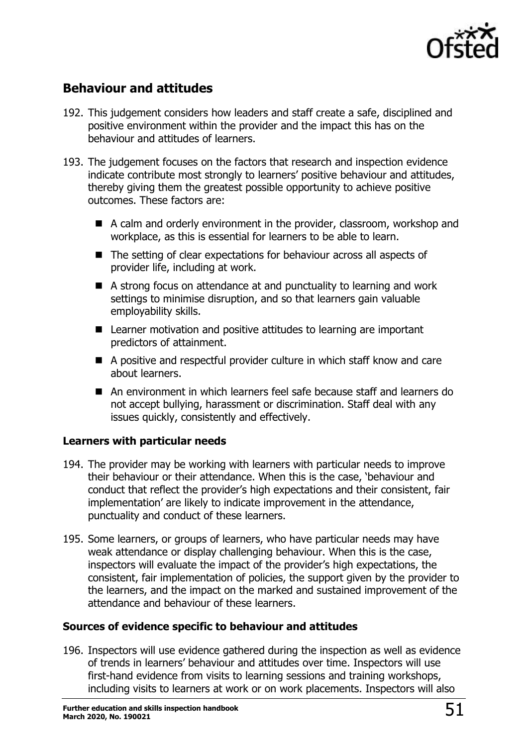

# <span id="page-50-0"></span>**Behaviour and attitudes**

- 192. This judgement considers how leaders and staff create a safe, disciplined and positive environment within the provider and the impact this has on the behaviour and attitudes of learners.
- 193. The judgement focuses on the factors that research and inspection evidence indicate contribute most strongly to learners' positive behaviour and attitudes, thereby giving them the greatest possible opportunity to achieve positive outcomes. These factors are:
	- A calm and orderly environment in the provider, classroom, workshop and workplace, as this is essential for learners to be able to learn.
	- The setting of clear expectations for behaviour across all aspects of provider life, including at work.
	- A strong focus on attendance at and punctuality to learning and work settings to minimise disruption, and so that learners gain valuable employability skills.
	- Learner motivation and positive attitudes to learning are important predictors of attainment.
	- A positive and respectful provider culture in which staff know and care about learners.
	- An environment in which learners feel safe because staff and learners do not accept bullying, harassment or discrimination. Staff deal with any issues quickly, consistently and effectively.

#### **Learners with particular needs**

- 194. The provider may be working with learners with particular needs to improve their behaviour or their attendance. When this is the case, 'behaviour and conduct that reflect the provider's high expectations and their consistent, fair implementation' are likely to indicate improvement in the attendance, punctuality and conduct of these learners.
- 195. Some learners, or groups of learners, who have particular needs may have weak attendance or display challenging behaviour. When this is the case, inspectors will evaluate the impact of the provider's high expectations, the consistent, fair implementation of policies, the support given by the provider to the learners, and the impact on the marked and sustained improvement of the attendance and behaviour of these learners.

#### **Sources of evidence specific to behaviour and attitudes**

196. Inspectors will use evidence gathered during the inspection as well as evidence of trends in learners' behaviour and attitudes over time. Inspectors will use first-hand evidence from visits to learning sessions and training workshops, including visits to learners at work or on work placements. Inspectors will also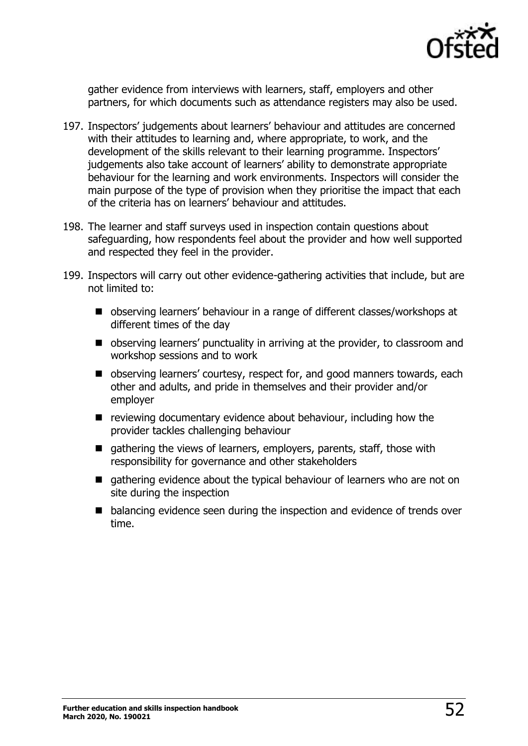

gather evidence from interviews with learners, staff, employers and other partners, for which documents such as attendance registers may also be used.

- 197. Inspectors' judgements about learners' behaviour and attitudes are concerned with their attitudes to learning and, where appropriate, to work, and the development of the skills relevant to their learning programme. Inspectors' judgements also take account of learners' ability to demonstrate appropriate behaviour for the learning and work environments. Inspectors will consider the main purpose of the type of provision when they prioritise the impact that each of the criteria has on learners' behaviour and attitudes.
- 198. The learner and staff surveys used in inspection contain questions about safeguarding, how respondents feel about the provider and how well supported and respected they feel in the provider.
- 199. Inspectors will carry out other evidence-gathering activities that include, but are not limited to:
	- observing learners' behaviour in a range of different classes/workshops at different times of the day
	- observing learners' punctuality in arriving at the provider, to classroom and workshop sessions and to work
	- observing learners' courtesy, respect for, and good manners towards, each other and adults, and pride in themselves and their provider and/or employer
	- reviewing documentary evidence about behaviour, including how the provider tackles challenging behaviour
	- gathering the views of learners, employers, parents, staff, those with responsibility for governance and other stakeholders
	- gathering evidence about the typical behaviour of learners who are not on site during the inspection
	- balancing evidence seen during the inspection and evidence of trends over time.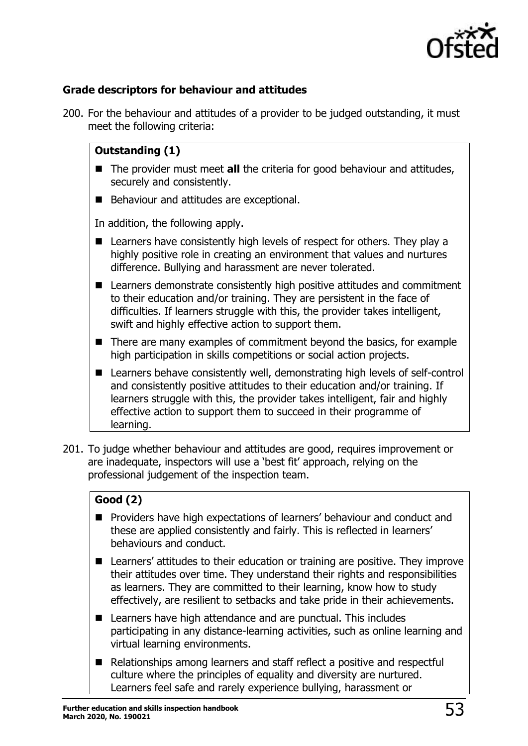

#### **Grade descriptors for behaviour and attitudes**

200. For the behaviour and attitudes of a provider to be judged outstanding, it must meet the following criteria:

#### **Outstanding (1)**

- The provider must meet **all** the criteria for good behaviour and attitudes, securely and consistently.
- Behaviour and attitudes are exceptional.

In addition, the following apply.

- Learners have consistently high levels of respect for others. They play a highly positive role in creating an environment that values and nurtures difference. Bullying and harassment are never tolerated.
- Learners demonstrate consistently high positive attitudes and commitment to their education and/or training. They are persistent in the face of difficulties. If learners struggle with this, the provider takes intelligent, swift and highly effective action to support them.
- There are many examples of commitment beyond the basics, for example high participation in skills competitions or social action projects.
- Learners behave consistently well, demonstrating high levels of self-control and consistently positive attitudes to their education and/or training. If learners struggle with this, the provider takes intelligent, fair and highly effective action to support them to succeed in their programme of learning.
- 201. To judge whether behaviour and attitudes are good, requires improvement or are inadequate, inspectors will use a 'best fit' approach, relying on the professional judgement of the inspection team.

#### **Good (2)**

- Providers have high expectations of learners' behaviour and conduct and these are applied consistently and fairly. This is reflected in learners' behaviours and conduct.
- Learners' attitudes to their education or training are positive. They improve their attitudes over time. They understand their rights and responsibilities as learners. They are committed to their learning, know how to study effectively, are resilient to setbacks and take pride in their achievements.
- Learners have high attendance and are punctual. This includes participating in any distance-learning activities, such as online learning and virtual learning environments.
- Relationships among learners and staff reflect a positive and respectful culture where the principles of equality and diversity are nurtured. Learners feel safe and rarely experience bullying, harassment or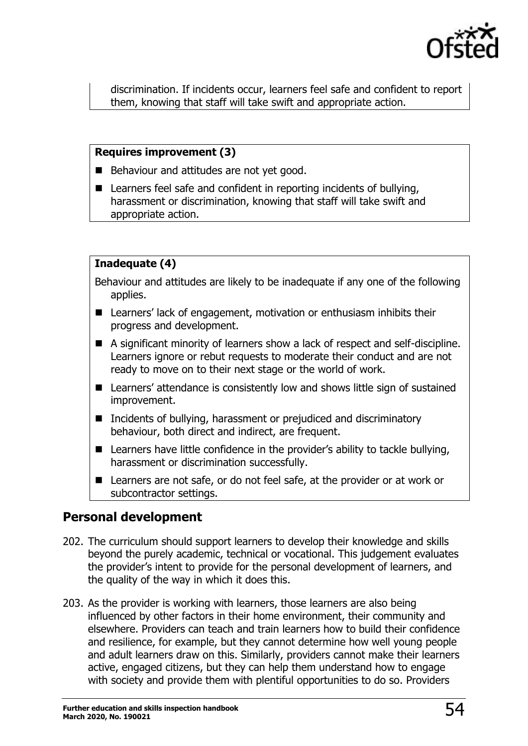

discrimination. If incidents occur, learners feel safe and confident to report them, knowing that staff will take swift and appropriate action.

#### **Requires improvement (3)**

- Behaviour and attitudes are not yet good.
- Learners feel safe and confident in reporting incidents of bullying, harassment or discrimination, knowing that staff will take swift and appropriate action.

#### **Inadequate (4)**

Behaviour and attitudes are likely to be inadequate if any one of the following applies.

- Learners' lack of engagement, motivation or enthusiasm inhibits their progress and development.
- A significant minority of learners show a lack of respect and self-discipline. Learners ignore or rebut requests to moderate their conduct and are not ready to move on to their next stage or the world of work.
- Learners' attendance is consistently low and shows little sign of sustained improvement.
- Incidents of bullying, harassment or prejudiced and discriminatory behaviour, both direct and indirect, are frequent.
- Learners have little confidence in the provider's ability to tackle bullying, harassment or discrimination successfully.
- Learners are not safe, or do not feel safe, at the provider or at work or subcontractor settings.

# <span id="page-53-0"></span>**Personal development**

- 202. The curriculum should support learners to develop their knowledge and skills beyond the purely academic, technical or vocational. This judgement evaluates the provider's intent to provide for the personal development of learners, and the quality of the way in which it does this.
- 203. As the provider is working with learners, those learners are also being influenced by other factors in their home environment, their community and elsewhere. Providers can teach and train learners how to build their confidence and resilience, for example, but they cannot determine how well young people and adult learners draw on this. Similarly, providers cannot make their learners active, engaged citizens, but they can help them understand how to engage with society and provide them with plentiful opportunities to do so. Providers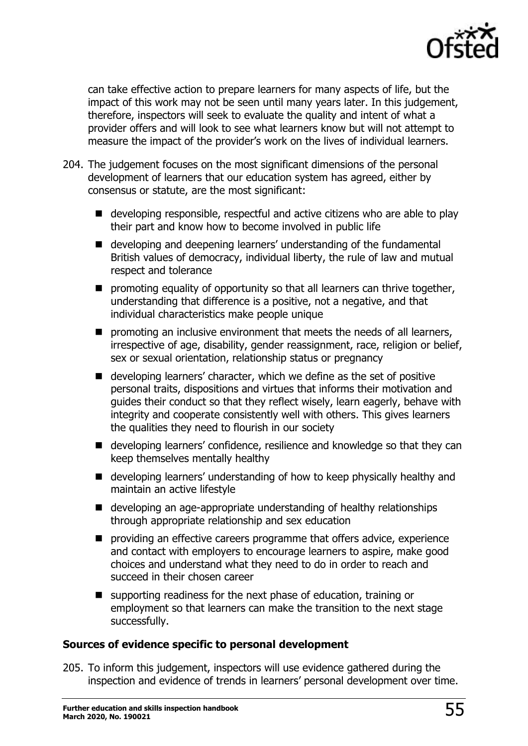

can take effective action to prepare learners for many aspects of life, but the impact of this work may not be seen until many years later. In this judgement, therefore, inspectors will seek to evaluate the quality and intent of what a provider offers and will look to see what learners know but will not attempt to measure the impact of the provider's work on the lives of individual learners.

- 204. The judgement focuses on the most significant dimensions of the personal development of learners that our education system has agreed, either by consensus or statute, are the most significant:
	- developing responsible, respectful and active citizens who are able to play their part and know how to become involved in public life
	- developing and deepening learners' understanding of the fundamental British values of democracy, individual liberty, the rule of law and mutual respect and tolerance
	- promoting equality of opportunity so that all learners can thrive together, understanding that difference is a positive, not a negative, and that individual characteristics make people unique
	- promoting an inclusive environment that meets the needs of all learners, irrespective of age, disability, gender reassignment, race, religion or belief, sex or sexual orientation, relationship status or pregnancy
	- developing learners' character, which we define as the set of positive personal traits, dispositions and virtues that informs their motivation and guides their conduct so that they reflect wisely, learn eagerly, behave with integrity and cooperate consistently well with others. This gives learners the qualities they need to flourish in our society
	- developing learners' confidence, resilience and knowledge so that they can keep themselves mentally healthy
	- developing learners' understanding of how to keep physically healthy and maintain an active lifestyle
	- developing an age-appropriate understanding of healthy relationships through appropriate relationship and sex education
	- providing an effective careers programme that offers advice, experience and contact with employers to encourage learners to aspire, make good choices and understand what they need to do in order to reach and succeed in their chosen career
	- supporting readiness for the next phase of education, training or employment so that learners can make the transition to the next stage successfully.

#### **Sources of evidence specific to personal development**

205. To inform this judgement, inspectors will use evidence gathered during the inspection and evidence of trends in learners' personal development over time.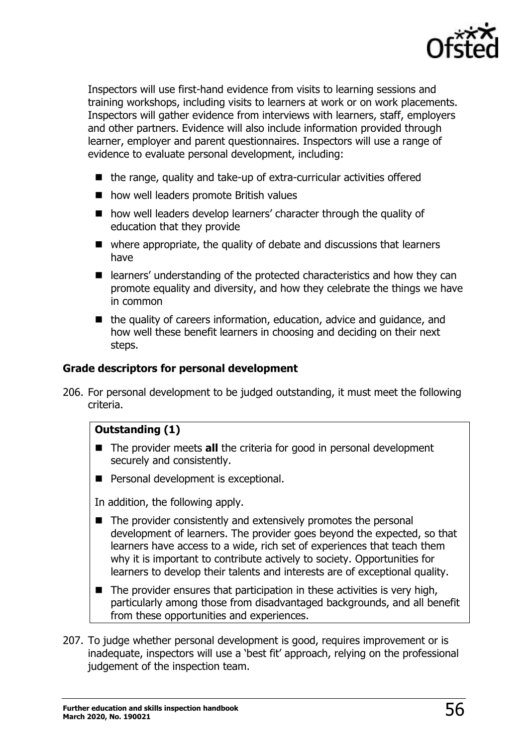

Inspectors will use first-hand evidence from visits to learning sessions and training workshops, including visits to learners at work or on work placements. Inspectors will gather evidence from interviews with learners, staff, employers and other partners. Evidence will also include information provided through learner, employer and parent questionnaires. Inspectors will use a range of evidence to evaluate personal development, including:

- the range, quality and take-up of extra-curricular activities offered
- how well leaders promote British values
- how well leaders develop learners' character through the quality of education that they provide
- where appropriate, the quality of debate and discussions that learners have
- learners' understanding of the protected characteristics and how they can promote equality and diversity, and how they celebrate the things we have in common
- the quality of careers information, education, advice and guidance, and how well these benefit learners in choosing and deciding on their next steps.

#### **Grade descriptors for personal development**

206. For personal development to be judged outstanding, it must meet the following criteria.

#### **Outstanding (1)**

- The provider meets **all** the criteria for good in personal development securely and consistently.
- Personal development is exceptional.

In addition, the following apply.

- The provider consistently and extensively promotes the personal development of learners. The provider goes beyond the expected, so that learners have access to a wide, rich set of experiences that teach them why it is important to contribute actively to society. Opportunities for learners to develop their talents and interests are of exceptional quality.
- $\blacksquare$  The provider ensures that participation in these activities is very high, particularly among those from disadvantaged backgrounds, and all benefit from these opportunities and experiences.
- 207. To judge whether personal development is good, requires improvement or is inadequate, inspectors will use a 'best fit' approach, relying on the professional judgement of the inspection team.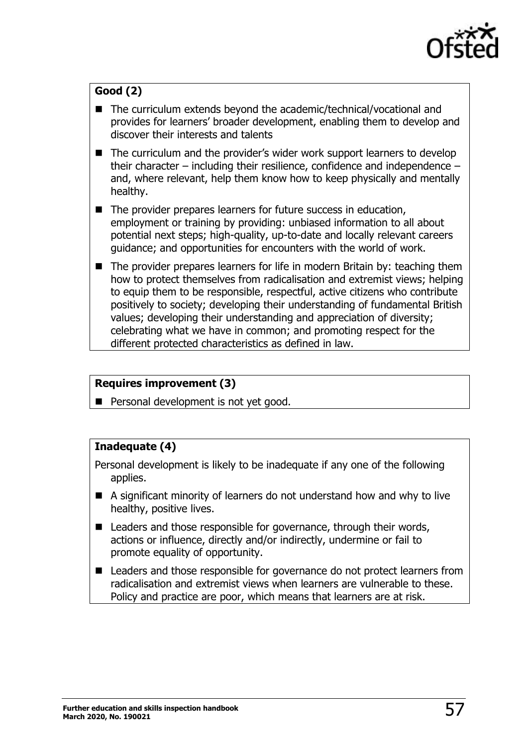

# **Good (2)**

- The curriculum extends beyond the academic/technical/vocational and provides for learners' broader development, enabling them to develop and discover their interests and talents
- The curriculum and the provider's wider work support learners to develop their character – including their resilience, confidence and independence – and, where relevant, help them know how to keep physically and mentally healthy.
- The provider prepares learners for future success in education, employment or training by providing: unbiased information to all about potential next steps; high-quality, up-to-date and locally relevant careers guidance; and opportunities for encounters with the world of work.
- The provider prepares learners for life in modern Britain by: teaching them how to protect themselves from radicalisation and extremist views; helping to equip them to be responsible, respectful, active citizens who contribute positively to society; developing their understanding of fundamental British values; developing their understanding and appreciation of diversity; celebrating what we have in common; and promoting respect for the different protected characteristics as defined in law.

#### **Requires improvement (3)**

■ Personal development is not yet good.

#### **Inadequate (4)**

Personal development is likely to be inadequate if any one of the following applies.

- A significant minority of learners do not understand how and why to live healthy, positive lives.
- Leaders and those responsible for governance, through their words, actions or influence, directly and/or indirectly, undermine or fail to promote equality of opportunity.
- Leaders and those responsible for governance do not protect learners from radicalisation and extremist views when learners are vulnerable to these. Policy and practice are poor, which means that learners are at risk.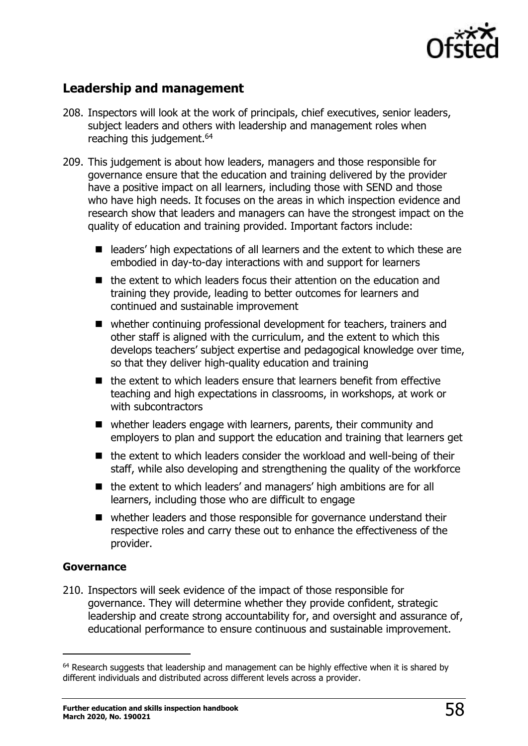

# <span id="page-57-0"></span>**Leadership and management**

- 208. Inspectors will look at the work of principals, chief executives, senior leaders, subject leaders and others with leadership and management roles when reaching this judgement.<sup>64</sup>
- 209. This judgement is about how leaders, managers and those responsible for governance ensure that the education and training delivered by the provider have a positive impact on all learners, including those with SEND and those who have high needs. It focuses on the areas in which inspection evidence and research show that leaders and managers can have the strongest impact on the quality of education and training provided. Important factors include:
	- leaders' high expectations of all learners and the extent to which these are embodied in day-to-day interactions with and support for learners
	- the extent to which leaders focus their attention on the education and training they provide, leading to better outcomes for learners and continued and sustainable improvement
	- whether continuing professional development for teachers, trainers and other staff is aligned with the curriculum, and the extent to which this develops teachers' subject expertise and pedagogical knowledge over time, so that they deliver high-quality education and training
	- the extent to which leaders ensure that learners benefit from effective teaching and high expectations in classrooms, in workshops, at work or with subcontractors
	- whether leaders engage with learners, parents, their community and employers to plan and support the education and training that learners get
	- the extent to which leaders consider the workload and well-being of their staff, while also developing and strengthening the quality of the workforce
	- the extent to which leaders' and managers' high ambitions are for all learners, including those who are difficult to engage
	- whether leaders and those responsible for governance understand their respective roles and carry these out to enhance the effectiveness of the provider.

#### **Governance**

 $\overline{a}$ 

210. Inspectors will seek evidence of the impact of those responsible for governance. They will determine whether they provide confident, strategic leadership and create strong accountability for, and oversight and assurance of, educational performance to ensure continuous and sustainable improvement.

 $64$  Research suggests that leadership and management can be highly effective when it is shared by different individuals and distributed across different levels across a provider.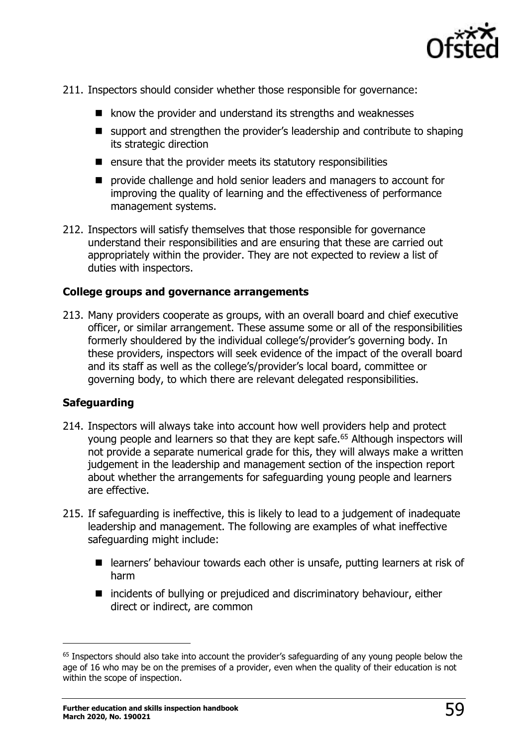

- 211. Inspectors should consider whether those responsible for governance:
	- know the provider and understand its strengths and weaknesses
	- support and strengthen the provider's leadership and contribute to shaping its strategic direction
	- ensure that the provider meets its statutory responsibilities
	- provide challenge and hold senior leaders and managers to account for improving the quality of learning and the effectiveness of performance management systems.
- 212. Inspectors will satisfy themselves that those responsible for governance understand their responsibilities and are ensuring that these are carried out appropriately within the provider. They are not expected to review a list of duties with inspectors.

#### **College groups and governance arrangements**

213. Many providers cooperate as groups, with an overall board and chief executive officer, or similar arrangement. These assume some or all of the responsibilities formerly shouldered by the individual college's/provider's governing body. In these providers, inspectors will seek evidence of the impact of the overall board and its staff as well as the college's/provider's local board, committee or governing body, to which there are relevant delegated responsibilities.

#### **Safeguarding**

- 214. Inspectors will always take into account how well providers help and protect young people and learners so that they are kept safe.<sup>65</sup> Although inspectors will not provide a separate numerical grade for this, they will always make a written judgement in the leadership and management section of the inspection report about whether the arrangements for safeguarding young people and learners are effective.
- 215. If safeguarding is ineffective, this is likely to lead to a judgement of inadequate leadership and management. The following are examples of what ineffective safeguarding might include:
	- learners' behaviour towards each other is unsafe, putting learners at risk of harm
	- incidents of bullying or prejudiced and discriminatory behaviour, either direct or indirect, are common

<sup>&</sup>lt;sup>65</sup> Inspectors should also take into account the provider's safeguarding of any young people below the age of 16 who may be on the premises of a provider, even when the quality of their education is not within the scope of inspection.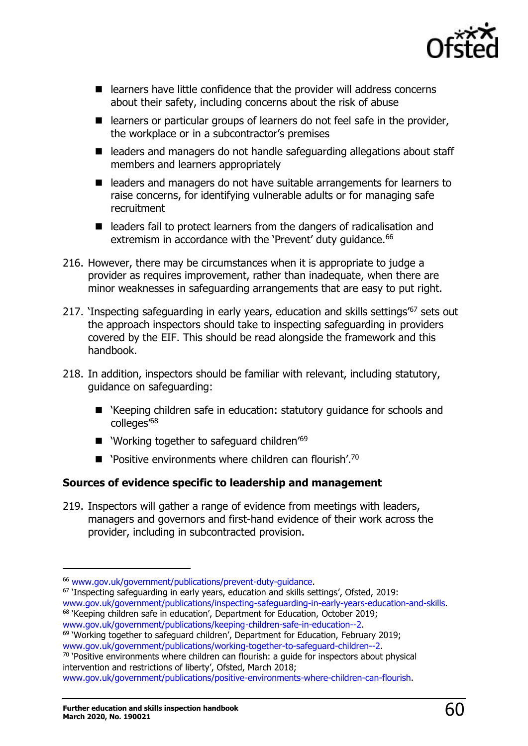

- learners have little confidence that the provider will address concerns about their safety, including concerns about the risk of abuse
- learners or particular groups of learners do not feel safe in the provider, the workplace or in a subcontractor's premises
- leaders and managers do not handle safeguarding allegations about staff members and learners appropriately
- leaders and managers do not have suitable arrangements for learners to raise concerns, for identifying vulnerable adults or for managing safe recruitment
- leaders fail to protect learners from the dangers of radicalisation and extremism in accordance with the 'Prevent' duty guidance.<sup>66</sup>
- 216. However, there may be circumstances when it is appropriate to judge a provider as requires improvement, rather than inadequate, when there are minor weaknesses in safeguarding arrangements that are easy to put right.
- 217. 'Inspecting safeguarding in early years, education and skills settings<sup>67</sup> sets out the approach inspectors should take to inspecting safeguarding in providers covered by the EIF. This should be read alongside the framework and this handbook.
- 218. In addition, inspectors should be familiar with relevant, including statutory, guidance on safeguarding:
	- 'Keeping children safe in education: statutory guidance for schools and colleges'<sup>68</sup>
	- 'Working together to safeguard children<sup>'69</sup>
	- $\blacksquare$  'Positive environments where children can flourish'.<sup>70</sup>

#### **Sources of evidence specific to leadership and management**

219. Inspectors will gather a range of evidence from meetings with leaders, managers and governors and first-hand evidence of their work across the provider, including in subcontracted provision.

<sup>67</sup> 'Inspecting safeguarding in early years, education and skills settings', Ofsted, 2019: www.gov.uk/government/publications/inspecting-safeguarding-in-early-years-education-and-skills.

<sup>69</sup> 'Working together to safeguard children', Department for Education, February 2019; [www.gov.uk/government/publications/working-together-to-safeguard-children--2.](http://www.gov.uk/government/publications/working-together-to-safeguard-children--2)

 $70$  'Positive environments where children can flourish: a quide for inspectors about physical intervention and restrictions of liberty', Ofsted, March 2018;

[www.gov.uk/government/publications/positive-environments-where-children-can-flourish.](http://www.gov.uk/government/publications/positive-environments-where-children-can-flourish)

<sup>66</sup> [www.gov.uk/government/publications/prevent-duty-guidance.](http://www.gov.uk/government/publications/prevent-duty-guidance)

<sup>&</sup>lt;sup>68</sup> 'Keeping children safe in education', Department for Education, October 2019; [www.gov.uk/government/publications/keeping-children-safe-in-education--2.](http://www.gov.uk/government/publications/keeping-children-safe-in-education--2)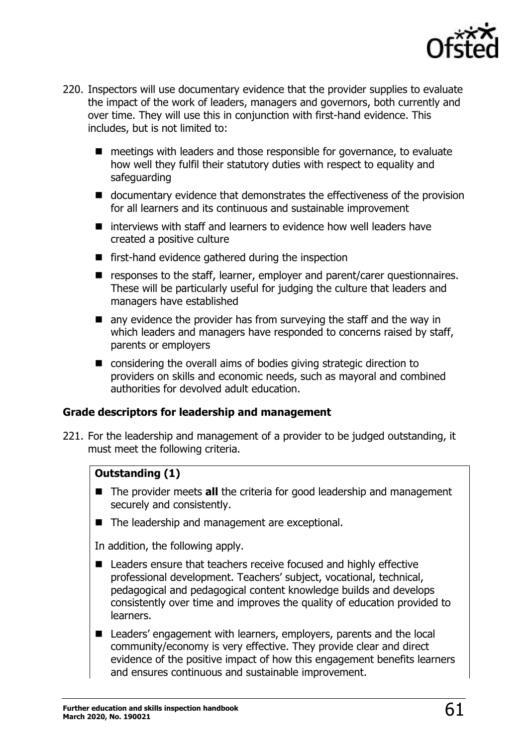

- 220. Inspectors will use documentary evidence that the provider supplies to evaluate the impact of the work of leaders, managers and governors, both currently and over time. They will use this in conjunction with first-hand evidence. This includes, but is not limited to:
	- meetings with leaders and those responsible for governance, to evaluate how well they fulfil their statutory duties with respect to equality and safeguarding
	- documentary evidence that demonstrates the effectiveness of the provision for all learners and its continuous and sustainable improvement
	- interviews with staff and learners to evidence how well leaders have created a positive culture
	- first-hand evidence gathered during the inspection
	- responses to the staff, learner, employer and parent/carer questionnaires. These will be particularly useful for judging the culture that leaders and managers have established
	- any evidence the provider has from surveying the staff and the way in which leaders and managers have responded to concerns raised by staff, parents or employers
	- considering the overall aims of bodies giving strategic direction to providers on skills and economic needs, such as mayoral and combined authorities for devolved adult education.

#### **Grade descriptors for leadership and management**

221. For the leadership and management of a provider to be judged outstanding, it must meet the following criteria.

#### **Outstanding (1)**

- The provider meets **all** the criteria for good leadership and management securely and consistently.
- The leadership and management are exceptional.

In addition, the following apply.

- Leaders ensure that teachers receive focused and highly effective professional development. Teachers' subject, vocational, technical, pedagogical and pedagogical content knowledge builds and develops consistently over time and improves the quality of education provided to learners.
- Leaders' engagement with learners, employers, parents and the local community/economy is very effective. They provide clear and direct evidence of the positive impact of how this engagement benefits learners and ensures continuous and sustainable improvement.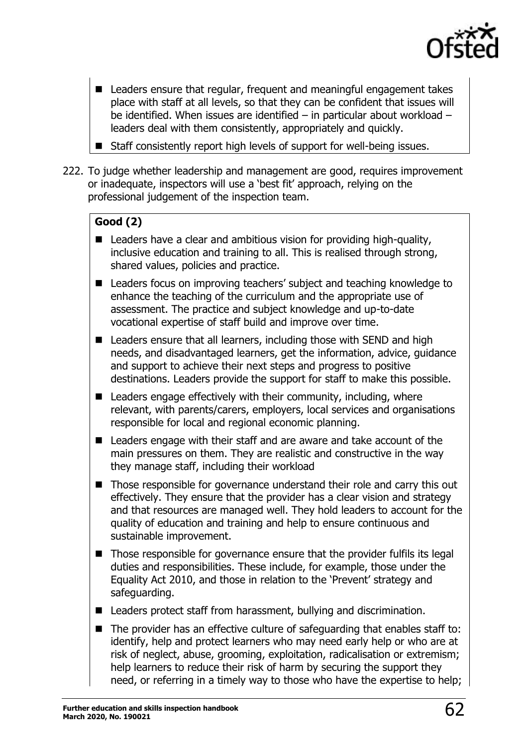

- Leaders ensure that regular, frequent and meaningful engagement takes place with staff at all levels, so that they can be confident that issues will be identified. When issues are identified – in particular about workload – leaders deal with them consistently, appropriately and quickly.
- Staff consistently report high levels of support for well-being issues.
- 222. To judge whether leadership and management are good, requires improvement or inadequate, inspectors will use a 'best fit' approach, relying on the professional judgement of the inspection team.

# **Good (2)**

- Leaders have a clear and ambitious vision for providing high-quality, inclusive education and training to all. This is realised through strong, shared values, policies and practice.
- Leaders focus on improving teachers' subject and teaching knowledge to enhance the teaching of the curriculum and the appropriate use of assessment. The practice and subject knowledge and up-to-date vocational expertise of staff build and improve over time.
- Leaders ensure that all learners, including those with SEND and high needs, and disadvantaged learners, get the information, advice, guidance and support to achieve their next steps and progress to positive destinations. Leaders provide the support for staff to make this possible.
- $\blacksquare$  Leaders engage effectively with their community, including, where relevant, with parents/carers, employers, local services and organisations responsible for local and regional economic planning.
- Leaders engage with their staff and are aware and take account of the main pressures on them. They are realistic and constructive in the way they manage staff, including their workload
- Those responsible for governance understand their role and carry this out effectively. They ensure that the provider has a clear vision and strategy and that resources are managed well. They hold leaders to account for the quality of education and training and help to ensure continuous and sustainable improvement.
- Those responsible for governance ensure that the provider fulfils its legal duties and responsibilities. These include, for example, those under the Equality Act 2010, and those in relation to the 'Prevent' strategy and safeguarding.
- Leaders protect staff from harassment, bullying and discrimination.
- The provider has an effective culture of safeguarding that enables staff to: identify, help and protect learners who may need early help or who are at risk of neglect, abuse, grooming, exploitation, radicalisation or extremism; help learners to reduce their risk of harm by securing the support they need, or referring in a timely way to those who have the expertise to help;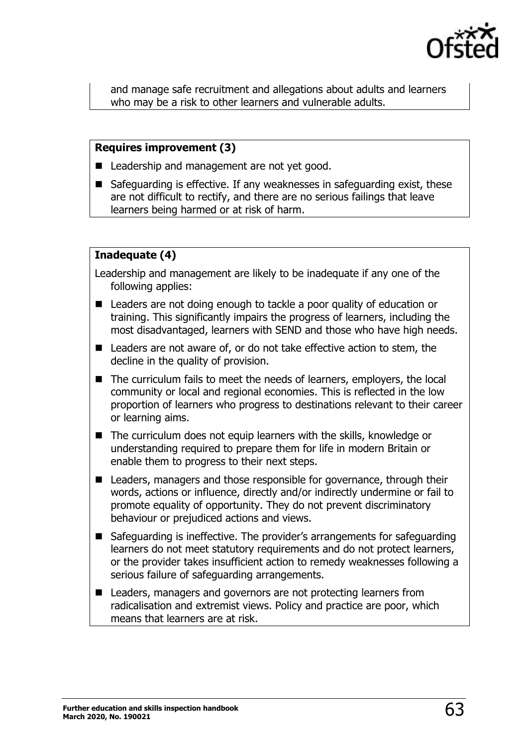

and manage safe recruitment and allegations about adults and learners who may be a risk to other learners and vulnerable adults.

#### **Requires improvement (3)**

- Leadership and management are not yet good.
- Safeguarding is effective. If any weaknesses in safeguarding exist, these are not difficult to rectify, and there are no serious failings that leave learners being harmed or at risk of harm.

#### **Inadequate (4)**

Leadership and management are likely to be inadequate if any one of the following applies:

- Leaders are not doing enough to tackle a poor quality of education or training. This significantly impairs the progress of learners, including the most disadvantaged, learners with SEND and those who have high needs.
- Leaders are not aware of, or do not take effective action to stem, the decline in the quality of provision.
- The curriculum fails to meet the needs of learners, employers, the local community or local and regional economies. This is reflected in the low proportion of learners who progress to destinations relevant to their career or learning aims.
- The curriculum does not equip learners with the skills, knowledge or understanding required to prepare them for life in modern Britain or enable them to progress to their next steps.
- Leaders, managers and those responsible for governance, through their words, actions or influence, directly and/or indirectly undermine or fail to promote equality of opportunity. They do not prevent discriminatory behaviour or prejudiced actions and views.
- Safeguarding is ineffective. The provider's arrangements for safeguarding learners do not meet statutory requirements and do not protect learners, or the provider takes insufficient action to remedy weaknesses following a serious failure of safeguarding arrangements.
- Leaders, managers and governors are not protecting learners from radicalisation and extremist views. Policy and practice are poor, which means that learners are at risk.